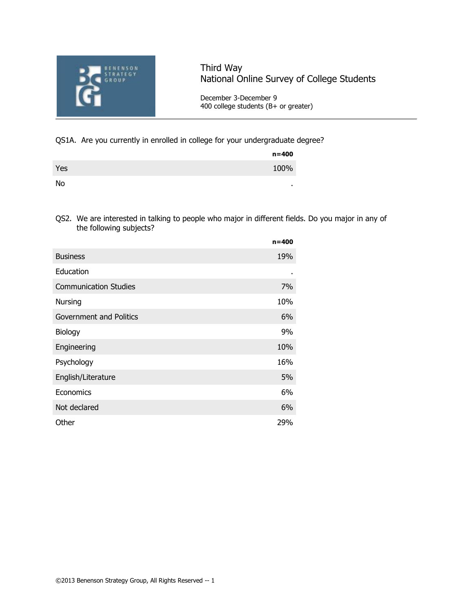

# Third Way National Online Survey of College Students

December 3-December 9 400 college students (B+ or greater)

### QS1A. Are you currently in enrolled in college for your undergraduate degree?

|     | $n = 400$ |
|-----|-----------|
| Yes | 100%      |
| No  | ٠         |

QS2. We are interested in talking to people who major in different fields. Do you major in any of the following subjects?

|                                | $n = 400$ |
|--------------------------------|-----------|
| <b>Business</b>                | 19%       |
| Education                      |           |
| <b>Communication Studies</b>   | 7%        |
| Nursing                        | 10%       |
| <b>Government and Politics</b> | 6%        |
| Biology                        | 9%        |
| Engineering                    | 10%       |
| Psychology                     | 16%       |
| English/Literature             | 5%        |
| Economics                      | 6%        |
| Not declared                   | 6%        |
| Other                          | 29%       |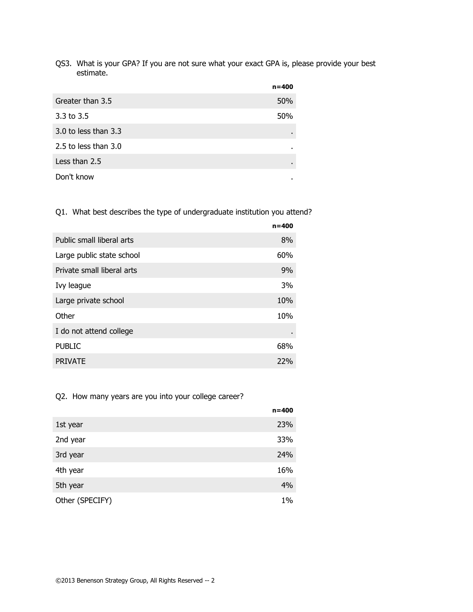QS3. What is your GPA? If you are not sure what your exact GPA is, please provide your best estimate.

|                        | $n = 400$      |
|------------------------|----------------|
| Greater than 3.5       | 50%            |
| 3.3 to $3.5$           | 50%            |
| 3.0 to less than $3.3$ | $\blacksquare$ |
| 2.5 to less than 3.0   | ٠              |
| Less than 2.5          | $\blacksquare$ |
| Don't know             | ٠              |

Q1. What best describes the type of undergraduate institution you attend?

|                            | $n = 400$ |
|----------------------------|-----------|
| Public small liberal arts  | 8%        |
| Large public state school  | 60%       |
| Private small liberal arts | 9%        |
| Ivy league                 | 3%        |
| Large private school       | 10%       |
| Other                      | 10%       |
| I do not attend college    |           |
| <b>PUBLIC</b>              | 68%       |
| <b>PRIVATE</b>             | 22%       |

## Q2. How many years are you into your college career?

|                 | $n = 400$ |
|-----------------|-----------|
| 1st year        | 23%       |
| 2nd year        | 33%       |
| 3rd year        | 24%       |
| 4th year        | 16%       |
| 5th year        | 4%        |
| Other (SPECIFY) | 1%        |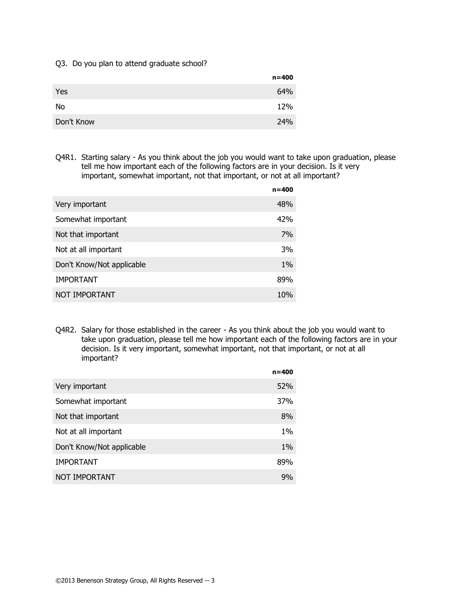#### Q3. Do you plan to attend graduate school?

|            | $n = 400$ |
|------------|-----------|
| Yes        | 64%       |
| No         | 12%       |
| Don't Know | 24%       |

Q4R1. Starting salary - As you think about the job you would want to take upon graduation, please tell me how important each of the following factors are in your decision. Is it very important, somewhat important, not that important, or not at all important?

|                           | $n = 400$ |
|---------------------------|-----------|
| Very important            | 48%       |
| Somewhat important        | 42%       |
| Not that important        | 7%        |
| Not at all important      | 3%        |
| Don't Know/Not applicable | $1\%$     |
| <b>IMPORTANT</b>          | 89%       |
| NOT IMPORTANT             | 10%       |
|                           |           |

Q4R2. Salary for those established in the career - As you think about the job you would want to take upon graduation, please tell me how important each of the following factors are in your decision. Is it very important, somewhat important, not that important, or not at all important?

|                           | $n = 400$ |
|---------------------------|-----------|
| Very important            | 52%       |
| Somewhat important        | 37%       |
| Not that important        | 8%        |
| Not at all important      | $1\%$     |
| Don't Know/Not applicable | $1\%$     |
| <b>IMPORTANT</b>          | 89%       |
| NOT IMPORTANT             | 9%        |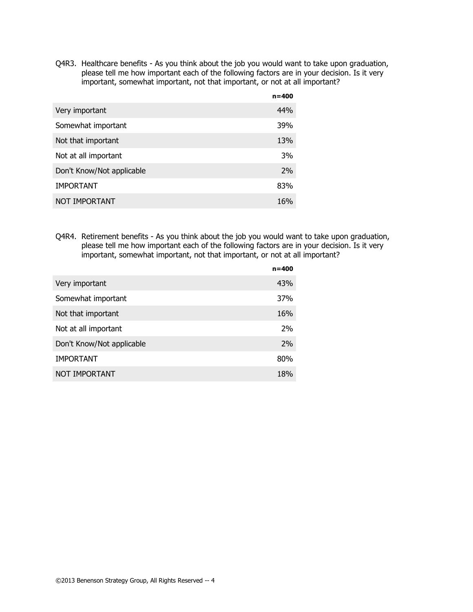Q4R3. Healthcare benefits - As you think about the job you would want to take upon graduation, please tell me how important each of the following factors are in your decision. Is it very important, somewhat important, not that important, or not at all important?

| $n = 400$ |
|-----------|
| 44%       |
| 39%       |
| 13%       |
| 3%        |
| 2%        |
| 83%       |
| 16%       |
|           |

Q4R4. Retirement benefits - As you think about the job you would want to take upon graduation, please tell me how important each of the following factors are in your decision. Is it very important, somewhat important, not that important, or not at all important?

|                           | $n = 400$ |
|---------------------------|-----------|
| Very important            | 43%       |
| Somewhat important        | 37%       |
| Not that important        | 16%       |
| Not at all important      | 2%        |
| Don't Know/Not applicable | 2%        |
| <b>IMPORTANT</b>          | 80%       |
| NOT IMPORTANT             | 18%       |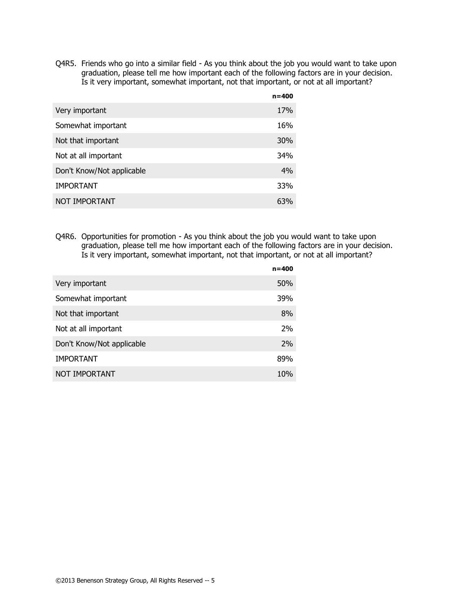Q4R5. Friends who go into a similar field - As you think about the job you would want to take upon graduation, please tell me how important each of the following factors are in your decision. Is it very important, somewhat important, not that important, or not at all important?

|                           | $n = 400$ |
|---------------------------|-----------|
| Very important            | 17%       |
| Somewhat important        | 16%       |
| Not that important        | 30%       |
| Not at all important      | 34%       |
| Don't Know/Not applicable | 4%        |
| <b>IMPORTANT</b>          | 33%       |
| NOT IMPORTANT             | 63%       |

Q4R6. Opportunities for promotion - As you think about the job you would want to take upon graduation, please tell me how important each of the following factors are in your decision. Is it very important, somewhat important, not that important, or not at all important?

|                           | $n = 400$ |
|---------------------------|-----------|
| Very important            | 50%       |
| Somewhat important        | 39%       |
| Not that important        | 8%        |
| Not at all important      | 2%        |
| Don't Know/Not applicable | 2%        |
| <b>IMPORTANT</b>          | 89%       |
| NOT IMPORTANT             | 10%       |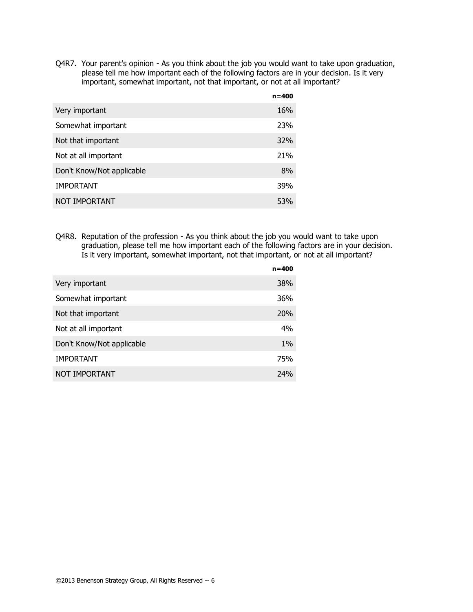Q4R7. Your parent's opinion - As you think about the job you would want to take upon graduation, please tell me how important each of the following factors are in your decision. Is it very important, somewhat important, not that important, or not at all important?

|                           | $n = 400$  |
|---------------------------|------------|
| Very important            | 16%        |
| Somewhat important        | 23%        |
| Not that important        | <b>32%</b> |
| Not at all important      | 21%        |
| Don't Know/Not applicable | 8%         |
| <b>IMPORTANT</b>          | 39%        |
| NOT IMPORTANT             | 53%        |

Q4R8. Reputation of the profession - As you think about the job you would want to take upon graduation, please tell me how important each of the following factors are in your decision. Is it very important, somewhat important, not that important, or not at all important?

|                           | $n = 400$  |
|---------------------------|------------|
| Very important            | 38%        |
| Somewhat important        | 36%        |
| Not that important        | <b>20%</b> |
| Not at all important      | 4%         |
| Don't Know/Not applicable | $1\%$      |
| <b>IMPORTANT</b>          | 75%        |
| NOT IMPORTANT             | 74%        |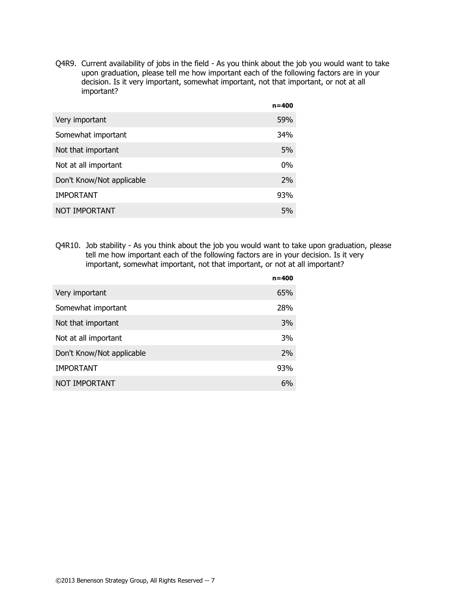Q4R9. Current availability of jobs in the field - As you think about the job you would want to take upon graduation, please tell me how important each of the following factors are in your decision. Is it very important, somewhat important, not that important, or not at all important?

|                           | $n = 400$ |
|---------------------------|-----------|
| Very important            | 59%       |
| Somewhat important        | 34%       |
| Not that important        | 5%        |
| Not at all important      | $0\%$     |
| Don't Know/Not applicable | 2%        |
| <b>IMPORTANT</b>          | 93%       |
| NOT IMPORTANT             | 5%        |
|                           |           |

Q4R10. Job stability - As you think about the job you would want to take upon graduation, please tell me how important each of the following factors are in your decision. Is it very important, somewhat important, not that important, or not at all important?

| $n = 400$ |
|-----------|
| 65%       |
| 28%       |
| 3%        |
| 3%        |
| 2%        |
| 93%       |
| 6%        |
|           |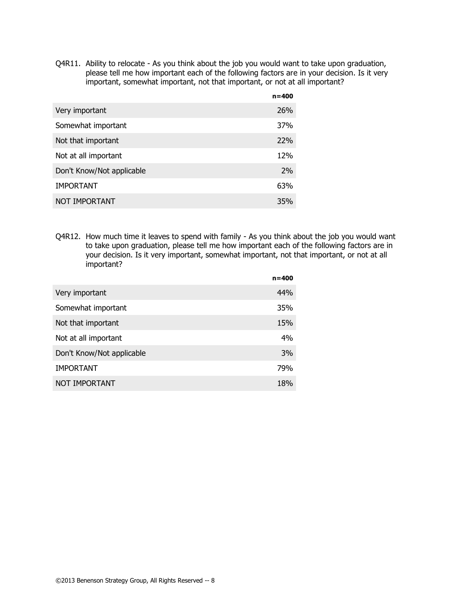Q4R11. Ability to relocate - As you think about the job you would want to take upon graduation, please tell me how important each of the following factors are in your decision. Is it very important, somewhat important, not that important, or not at all important?

|                           | $n = 400$  |
|---------------------------|------------|
| Very important            | <b>26%</b> |
| Somewhat important        | 37%        |
| Not that important        | 22%        |
| Not at all important      | 12%        |
| Don't Know/Not applicable | 2%         |
| <b>IMPORTANT</b>          | 63%        |
| NOT IMPORTANT             | 35%        |

Q4R12. How much time it leaves to spend with family - As you think about the job you would want to take upon graduation, please tell me how important each of the following factors are in your decision. Is it very important, somewhat important, not that important, or not at all important?

|                           | $n = 400$ |
|---------------------------|-----------|
| Very important            | 44%       |
| Somewhat important        | 35%       |
| Not that important        | 15%       |
| Not at all important      | 4%        |
| Don't Know/Not applicable | 3%        |
| <b>IMPORTANT</b>          | 79%       |
| NOT IMPORTANT             | 18%       |
|                           |           |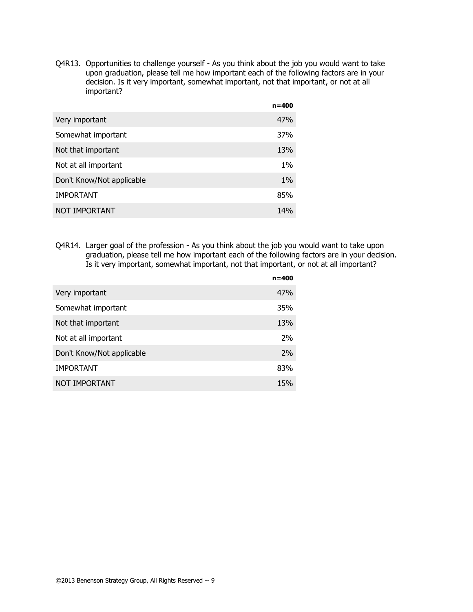Q4R13. Opportunities to challenge yourself - As you think about the job you would want to take upon graduation, please tell me how important each of the following factors are in your decision. Is it very important, somewhat important, not that important, or not at all important?

|                           | $n = 400$ |
|---------------------------|-----------|
| Very important            | 47%       |
| Somewhat important        | 37%       |
| Not that important        | 13%       |
| Not at all important      | $1\%$     |
| Don't Know/Not applicable | $1\%$     |
| <b>IMPORTANT</b>          | 85%       |
| NOT IMPORTANT             | 14%       |

Q4R14. Larger goal of the profession - As you think about the job you would want to take upon graduation, please tell me how important each of the following factors are in your decision. Is it very important, somewhat important, not that important, or not at all important?

|                           | $n = 400$ |
|---------------------------|-----------|
| Very important            | 47%       |
| Somewhat important        | 35%       |
| Not that important        | 13%       |
| Not at all important      | 2%        |
| Don't Know/Not applicable | 2%        |
| <b>IMPORTANT</b>          | 83%       |
| NOT IMPORTANT             | 15%       |
|                           |           |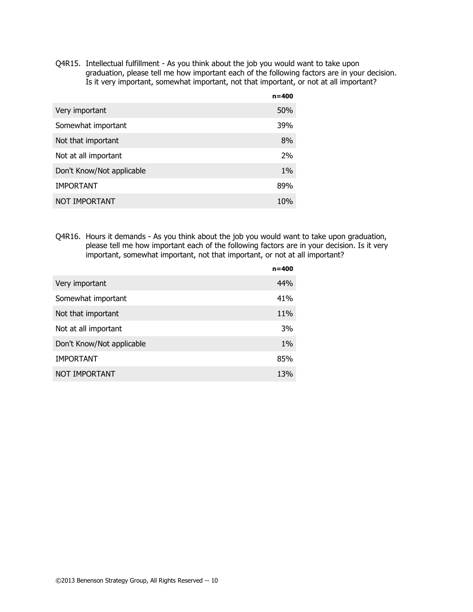Q4R15. Intellectual fulfillment - As you think about the job you would want to take upon graduation, please tell me how important each of the following factors are in your decision. Is it very important, somewhat important, not that important, or not at all important?

|                           | $n = 400$ |
|---------------------------|-----------|
| Very important            | 50%       |
| Somewhat important        | 39%       |
| Not that important        | 8%        |
| Not at all important      | 2%        |
| Don't Know/Not applicable | $1\%$     |
| <b>IMPORTANT</b>          | 89%       |
| NOT IMPORTANT             | 10%       |
|                           |           |

Q4R16. Hours it demands - As you think about the job you would want to take upon graduation, please tell me how important each of the following factors are in your decision. Is it very important, somewhat important, not that important, or not at all important?

|                           | $n = 400$ |
|---------------------------|-----------|
| Very important            | 44%       |
| Somewhat important        | 41%       |
| Not that important        | 11%       |
| Not at all important      | 3%        |
| Don't Know/Not applicable | $1\%$     |
| <b>IMPORTANT</b>          | 85%       |
| NOT IMPORTANT             | 13%       |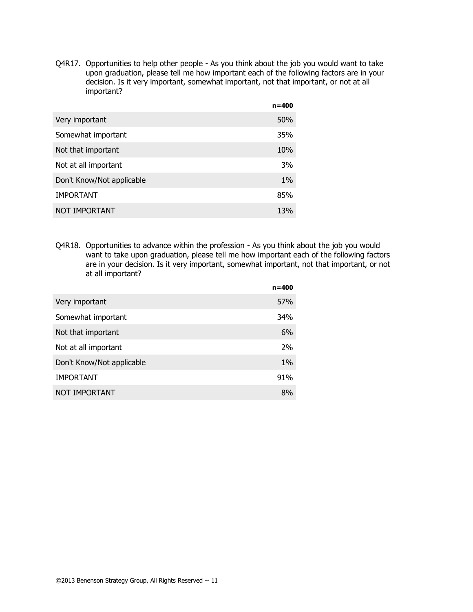Q4R17. Opportunities to help other people - As you think about the job you would want to take upon graduation, please tell me how important each of the following factors are in your decision. Is it very important, somewhat important, not that important, or not at all important?

|                           | $n = 400$ |
|---------------------------|-----------|
| Very important            | 50%       |
| Somewhat important        | 35%       |
| Not that important        | 10%       |
| Not at all important      | 3%        |
| Don't Know/Not applicable | $1\%$     |
| <b>IMPORTANT</b>          | 85%       |
| NOT IMPORTANT             | 13%       |

Q4R18. Opportunities to advance within the profession - As you think about the job you would want to take upon graduation, please tell me how important each of the following factors are in your decision. Is it very important, somewhat important, not that important, or not at all important?

|                           | $n = 400$ |
|---------------------------|-----------|
| Very important            | 57%       |
| Somewhat important        | 34%       |
| Not that important        | 6%        |
| Not at all important      | 2%        |
| Don't Know/Not applicable | $1\%$     |
| <b>IMPORTANT</b>          | 91%       |
| NOT IMPORTANT             | 8%        |
|                           |           |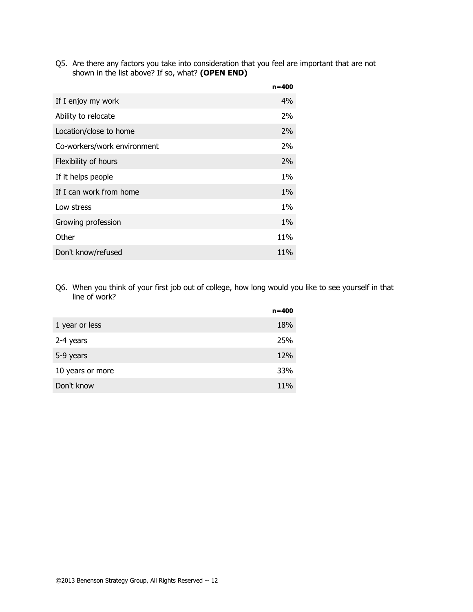Q5. Are there any factors you take into consideration that you feel are important that are not shown in the list above? If so, what? **(OPEN END)**

|                             | $n = 400$ |
|-----------------------------|-----------|
| If I enjoy my work          | 4%        |
| Ability to relocate         | 2%        |
| Location/close to home      | $2\%$     |
| Co-workers/work environment | 2%        |
| Flexibility of hours        | $2\%$     |
| If it helps people          | $1\%$     |
| If I can work from home     | $1\%$     |
| Low stress                  | $1\%$     |
| Growing profession          | $1\%$     |
| Other                       | 11%       |
| Don't know/refused          | 11%       |

Q6. When you think of your first job out of college, how long would you like to see yourself in that line of work?

|                  | $n = 400$ |
|------------------|-----------|
| 1 year or less   | 18%       |
| 2-4 years        | 25%       |
| 5-9 years        | 12%       |
| 10 years or more | 33%       |
| Don't know       | 11%       |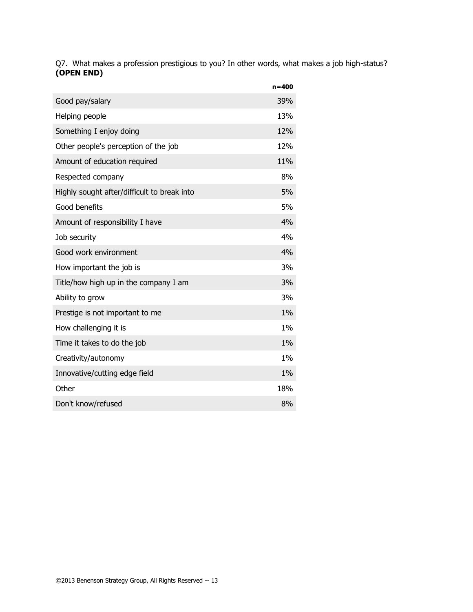Q7. What makes a profession prestigious to you? In other words, what makes a job high-status? **(OPEN END)**

|                                             | $n = 400$ |
|---------------------------------------------|-----------|
| Good pay/salary                             | 39%       |
| Helping people                              | 13%       |
| Something I enjoy doing                     | 12%       |
| Other people's perception of the job        | 12%       |
| Amount of education required                | 11%       |
| Respected company                           | 8%        |
| Highly sought after/difficult to break into | 5%        |
| Good benefits                               | 5%        |
| Amount of responsibility I have             | 4%        |
| Job security                                | 4%        |
| Good work environment                       | 4%        |
| How important the job is                    | 3%        |
| Title/how high up in the company I am       | 3%        |
| Ability to grow                             | 3%        |
| Prestige is not important to me             | 1%        |
| How challenging it is                       | $1\%$     |
| Time it takes to do the job                 | 1%        |
| Creativity/autonomy                         | 1%        |
| Innovative/cutting edge field               | 1%        |
| Other                                       | 18%       |
| Don't know/refused                          | 8%        |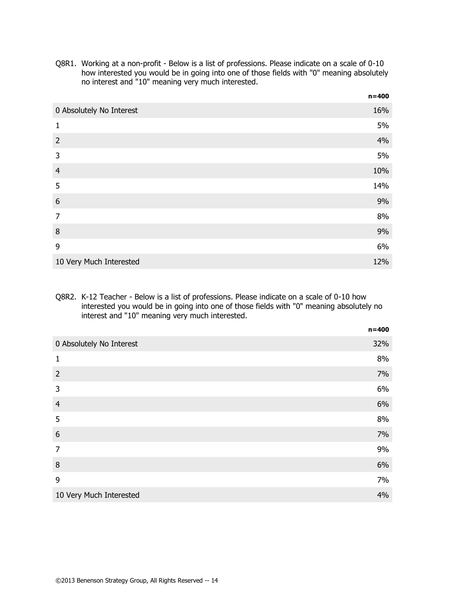Q8R1. Working at a non-profit - Below is a list of professions. Please indicate on a scale of 0-10 how interested you would be in going into one of those fields with "0" meaning absolutely no interest and "10" meaning very much interested.

**n=400**

|                          | 11–400 |
|--------------------------|--------|
| 0 Absolutely No Interest | 16%    |
| 1                        | 5%     |
| $\overline{2}$           | 4%     |
| 3                        | 5%     |
| $\overline{4}$           | 10%    |
| 5                        | 14%    |
| $\boldsymbol{6}$         | 9%     |
| $\overline{7}$           | 8%     |
| 8                        | 9%     |
| 9                        | 6%     |
| 10 Very Much Interested  | 12%    |

#### Q8R2. K-12 Teacher - Below is a list of professions. Please indicate on a scale of 0-10 how interested you would be in going into one of those fields with "0" meaning absolutely no interest and "10" meaning very much interested.

|                          | $n = 400$ |
|--------------------------|-----------|
| 0 Absolutely No Interest | 32%       |
| $\mathbf{1}$             | 8%        |
| $\overline{2}$           | 7%        |
| 3                        | 6%        |
| $\overline{4}$           | 6%        |
| 5                        | 8%        |
| $6\phantom{1}6$          | 7%        |
| $\overline{7}$           | 9%        |
| 8                        | 6%        |
| 9                        | 7%        |
| 10 Very Much Interested  | 4%        |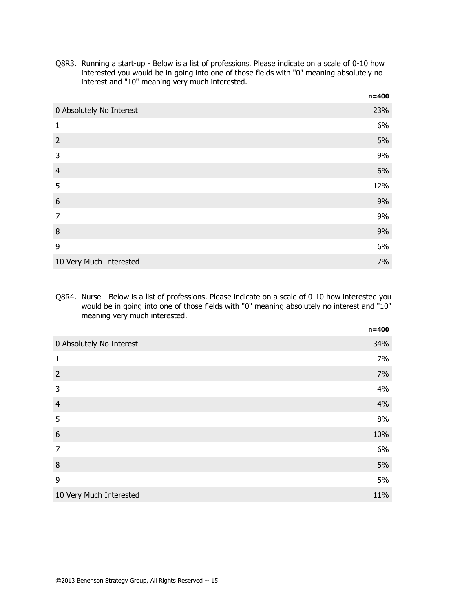Q8R3. Running a start-up - Below is a list of professions. Please indicate on a scale of 0-10 how interested you would be in going into one of those fields with "0" meaning absolutely no interest and "10" meaning very much interested.

|                          | $n = 400$ |
|--------------------------|-----------|
| 0 Absolutely No Interest | 23%       |
| 1                        | 6%        |
| $\overline{2}$           | 5%        |
| 3                        | 9%        |
| $\overline{4}$           | 6%        |
| 5                        | 12%       |
| 6                        | 9%        |
| $\overline{7}$           | 9%        |
| 8                        | 9%        |
| 9                        | 6%        |
| 10 Very Much Interested  | 7%        |

Q8R4. Nurse - Below is a list of professions. Please indicate on a scale of 0-10 how interested you would be in going into one of those fields with "0" meaning absolutely no interest and "10" meaning very much interested.

|                          | $n = 400$ |
|--------------------------|-----------|
| 0 Absolutely No Interest | 34%       |
| 1                        | 7%        |
| $\overline{2}$           | 7%        |
| 3                        | 4%        |
| $\overline{4}$           | 4%        |
| 5                        | 8%        |
| $\boldsymbol{6}$         | 10%       |
| $\overline{7}$           | 6%        |
| 8                        | 5%        |
| 9                        | 5%        |
| 10 Very Much Interested  | 11%       |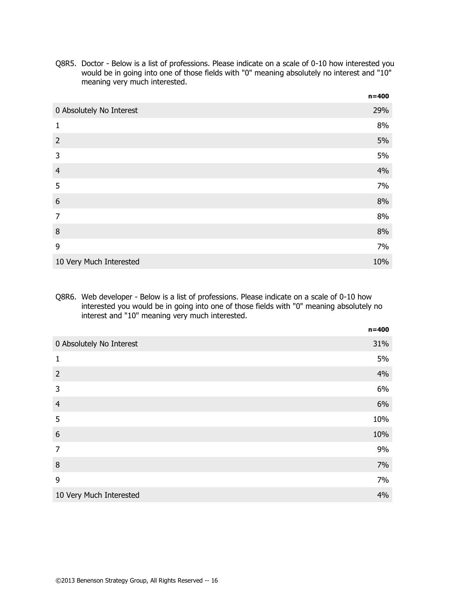Q8R5. Doctor - Below is a list of professions. Please indicate on a scale of 0-10 how interested you would be in going into one of those fields with "0" meaning absolutely no interest and "10" meaning very much interested.

|                          | $n = 400$ |
|--------------------------|-----------|
| 0 Absolutely No Interest | 29%       |
| 1                        | 8%        |
| $\overline{2}$           | 5%        |
| 3                        | 5%        |
| $\overline{4}$           | 4%        |
| 5                        | 7%        |
| 6                        | 8%        |
| $\overline{7}$           | 8%        |
| 8                        | 8%        |
| 9                        | 7%        |
| 10 Very Much Interested  | 10%       |

#### Q8R6. Web developer - Below is a list of professions. Please indicate on a scale of 0-10 how interested you would be in going into one of those fields with "0" meaning absolutely no interest and "10" meaning very much interested.

|                          | $n = 400$ |
|--------------------------|-----------|
| 0 Absolutely No Interest | 31%       |
| $\mathbf{1}$             | 5%        |
| $\overline{2}$           | 4%        |
| 3                        | 6%        |
| $\overline{4}$           | 6%        |
| 5                        | 10%       |
| $6\phantom{1}6$          | 10%       |
| $\overline{7}$           | 9%        |
| 8                        | 7%        |
| 9                        | 7%        |
| 10 Very Much Interested  | 4%        |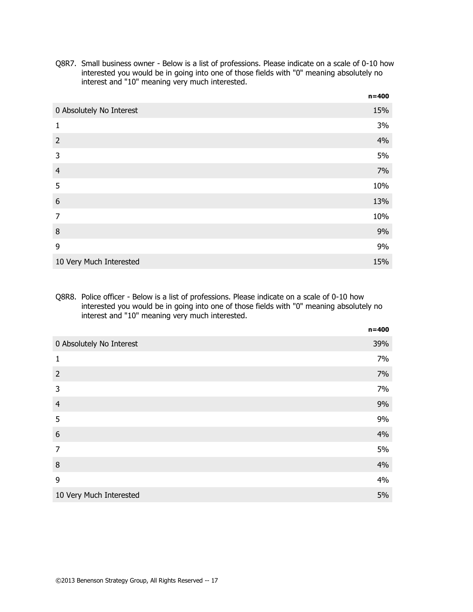Q8R7. Small business owner - Below is a list of professions. Please indicate on a scale of 0-10 how interested you would be in going into one of those fields with "0" meaning absolutely no interest and "10" meaning very much interested.

|                          | $n = 400$ |
|--------------------------|-----------|
| 0 Absolutely No Interest | 15%       |
| 1                        | 3%        |
| $\overline{2}$           | 4%        |
| 3                        | 5%        |
| $\overline{4}$           | 7%        |
| 5                        | 10%       |
| 6                        | 13%       |
| $\overline{7}$           | 10%       |
| 8                        | 9%        |
| 9                        | 9%        |
| 10 Very Much Interested  | 15%       |

#### Q8R8. Police officer - Below is a list of professions. Please indicate on a scale of 0-10 how interested you would be in going into one of those fields with "0" meaning absolutely no interest and "10" meaning very much interested.

|                          | $n = 400$ |
|--------------------------|-----------|
| 0 Absolutely No Interest | 39%       |
| 1                        | 7%        |
| $\overline{2}$           | 7%        |
| 3                        | 7%        |
| $\overline{4}$           | 9%        |
| 5                        | 9%        |
| 6                        | 4%        |
| $\overline{7}$           | 5%        |
| 8                        | 4%        |
| 9                        | 4%        |
| 10 Very Much Interested  | 5%        |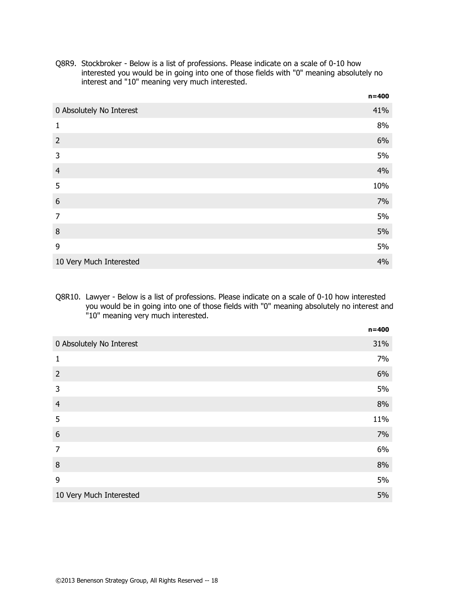Q8R9. Stockbroker - Below is a list of professions. Please indicate on a scale of 0-10 how interested you would be in going into one of those fields with "0" meaning absolutely no interest and "10" meaning very much interested.

|                          | $n = 400$ |
|--------------------------|-----------|
| 0 Absolutely No Interest | 41%       |
| 1                        | 8%        |
| $\overline{2}$           | 6%        |
| 3                        | 5%        |
| $\overline{4}$           | 4%        |
| 5                        | 10%       |
| 6                        | 7%        |
| $\overline{7}$           | 5%        |
| 8                        | 5%        |
| 9                        | 5%        |
| 10 Very Much Interested  | 4%        |

#### Q8R10. Lawyer - Below is a list of professions. Please indicate on a scale of 0-10 how interested you would be in going into one of those fields with "0" meaning absolutely no interest and "10" meaning very much interested.

|                          | $n = 400$ |
|--------------------------|-----------|
| 0 Absolutely No Interest | 31%       |
| $\mathbf{1}$             | 7%        |
| $\overline{2}$           | 6%        |
| 3                        | 5%        |
| $\overline{4}$           | 8%        |
| 5                        | 11%       |
| $\boldsymbol{6}$         | 7%        |
| $\overline{7}$           | 6%        |
| 8                        | 8%        |
| 9                        | 5%        |
| 10 Very Much Interested  | 5%        |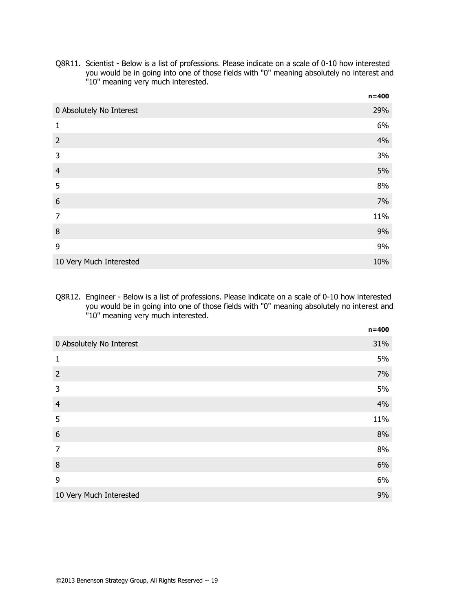Q8R11. Scientist - Below is a list of professions. Please indicate on a scale of 0-10 how interested you would be in going into one of those fields with "0" meaning absolutely no interest and "10" meaning very much interested.

|                          | $n = 400$ |
|--------------------------|-----------|
| 0 Absolutely No Interest | 29%       |
| 1                        | 6%        |
| $\overline{2}$           | 4%        |
| 3                        | 3%        |
| $\overline{4}$           | 5%        |
| 5                        | 8%        |
| 6                        | 7%        |
| $\overline{7}$           | 11%       |
| 8                        | 9%        |
| 9                        | 9%        |
| 10 Very Much Interested  | 10%       |

Q8R12. Engineer - Below is a list of professions. Please indicate on a scale of 0-10 how interested you would be in going into one of those fields with "0" meaning absolutely no interest and "10" meaning very much interested.

|                          | $n = 400$ |
|--------------------------|-----------|
| 0 Absolutely No Interest | 31%       |
| 1                        | 5%        |
| $\overline{2}$           | 7%        |
| 3                        | 5%        |
| $\overline{4}$           | 4%        |
| 5                        | 11%       |
| $\boldsymbol{6}$         | 8%        |
| $\overline{7}$           | 8%        |
| 8                        | 6%        |
| 9                        | 6%        |
| 10 Very Much Interested  | 9%        |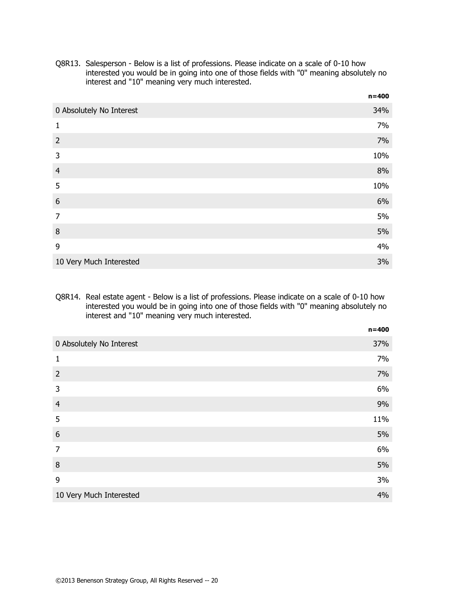Q8R13. Salesperson - Below is a list of professions. Please indicate on a scale of 0-10 how interested you would be in going into one of those fields with "0" meaning absolutely no interest and "10" meaning very much interested.

|                          | $n = 400$ |
|--------------------------|-----------|
| 0 Absolutely No Interest | 34%       |
| 1                        | 7%        |
| $\overline{2}$           | 7%        |
| 3                        | 10%       |
| $\overline{4}$           | 8%        |
| 5                        | 10%       |
| 6                        | 6%        |
| $\overline{7}$           | 5%        |
| 8                        | 5%        |
| 9                        | 4%        |
| 10 Very Much Interested  | 3%        |

#### Q8R14. Real estate agent - Below is a list of professions. Please indicate on a scale of 0-10 how interested you would be in going into one of those fields with "0" meaning absolutely no interest and "10" meaning very much interested.

|                          | $n = 400$ |
|--------------------------|-----------|
| 0 Absolutely No Interest | 37%       |
| $\mathbf{1}$             | 7%        |
| $\overline{2}$           | 7%        |
| 3                        | 6%        |
| $\overline{4}$           | 9%        |
| 5                        | 11%       |
| $\boldsymbol{6}$         | 5%        |
| $\overline{7}$           | 6%        |
| 8                        | 5%        |
| 9                        | 3%        |
| 10 Very Much Interested  | 4%        |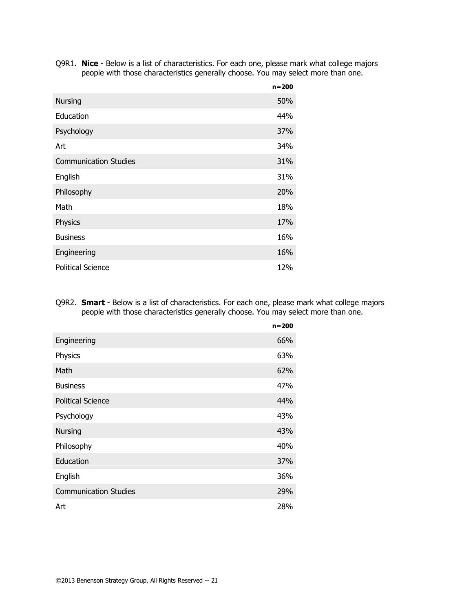Q9R1. **Nice** - Below is a list of characteristics. For each one, please mark what college majors people with those characteristics generally choose. You may select more than one.

|                              | $n = 200$  |
|------------------------------|------------|
| <b>Nursing</b>               | 50%        |
| Education                    | 44%        |
| Psychology                   | 37%        |
| Art                          | 34%        |
| <b>Communication Studies</b> | <b>31%</b> |
| English                      | 31%        |
| Philosophy                   | 20%        |
| Math                         | 18%        |
| Physics                      | 17%        |
| <b>Business</b>              | 16%        |
| Engineering                  | 16%        |
| <b>Political Science</b>     | 12%        |

Q9R2. **Smart** - Below is a list of characteristics. For each one, please mark what college majors people with those characteristics generally choose. You may select more than one.

|                              | $n = 200$ |
|------------------------------|-----------|
| Engineering                  | 66%       |
| Physics                      | 63%       |
| Math                         | 62%       |
| <b>Business</b>              | 47%       |
| <b>Political Science</b>     | 44%       |
| Psychology                   | 43%       |
| <b>Nursing</b>               | 43%       |
| Philosophy                   | 40%       |
| Education                    | 37%       |
| English                      | 36%       |
| <b>Communication Studies</b> | 29%       |
| Art                          | 28%       |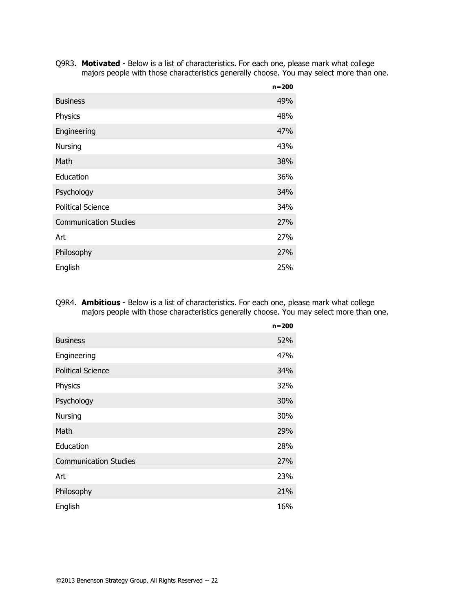Q9R3. **Motivated** - Below is a list of characteristics. For each one, please mark what college majors people with those characteristics generally choose. You may select more than one.

|                              | $n = 200$ |
|------------------------------|-----------|
| <b>Business</b>              | 49%       |
| Physics                      | 48%       |
| Engineering                  | 47%       |
| Nursing                      | 43%       |
| Math                         | 38%       |
| Education                    | 36%       |
| Psychology                   | 34%       |
| <b>Political Science</b>     | 34%       |
| <b>Communication Studies</b> | 27%       |
| Art                          | 27%       |
| Philosophy                   | 27%       |
| English                      | 25%       |

Q9R4. **Ambitious** - Below is a list of characteristics. For each one, please mark what college majors people with those characteristics generally choose. You may select more than one.

|                              | $n = 200$ |
|------------------------------|-----------|
| <b>Business</b>              | 52%       |
| Engineering                  | 47%       |
| <b>Political Science</b>     | 34%       |
| Physics                      | 32%       |
| Psychology                   | 30%       |
| Nursing                      | 30%       |
| Math                         | 29%       |
| Education                    | 28%       |
| <b>Communication Studies</b> | 27%       |
| Art                          | 23%       |
| Philosophy                   | 21%       |
| English                      | 16%       |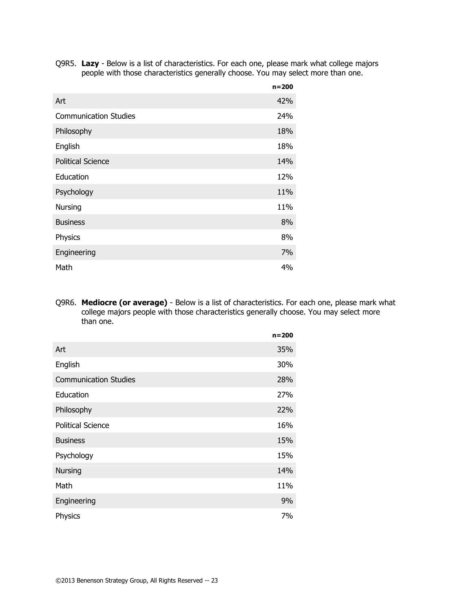Q9R5. **Lazy** - Below is a list of characteristics. For each one, please mark what college majors people with those characteristics generally choose. You may select more than one.

|                              | $n = 200$ |
|------------------------------|-----------|
| Art                          | 42%       |
| <b>Communication Studies</b> | 24%       |
| Philosophy                   | 18%       |
| English                      | 18%       |
| <b>Political Science</b>     | 14%       |
| Education                    | 12%       |
| Psychology                   | 11%       |
| Nursing                      | 11%       |
| <b>Business</b>              | 8%        |
| Physics                      | 8%        |
| Engineering                  | 7%        |
| Math                         | 4%        |

Q9R6. **Mediocre (or average)** - Below is a list of characteristics. For each one, please mark what college majors people with those characteristics generally choose. You may select more than one.

|                              | $n = 200$  |
|------------------------------|------------|
| Art                          | 35%        |
| English                      | 30%        |
| <b>Communication Studies</b> | 28%        |
| Education                    | 27%        |
| Philosophy                   | <b>22%</b> |
| <b>Political Science</b>     | 16%        |
| <b>Business</b>              | 15%        |
| Psychology                   | 15%        |
| Nursing                      | 14%        |
| Math                         | 11%        |
| Engineering                  | 9%         |
| Physics                      | 7%         |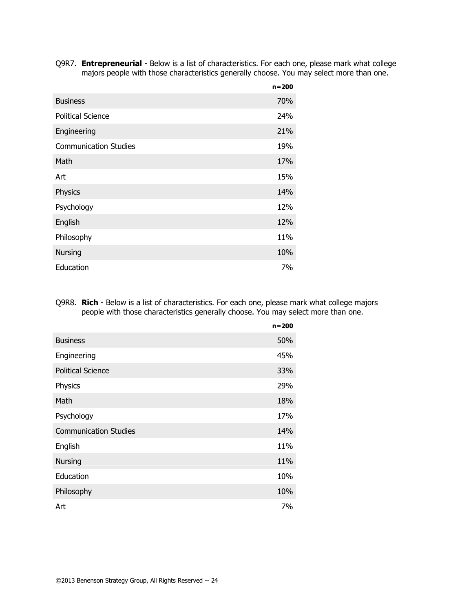Q9R7. **Entrepreneurial** - Below is a list of characteristics. For each one, please mark what college majors people with those characteristics generally choose. You may select more than one.

|                              | $n = 200$       |
|------------------------------|-----------------|
| <b>Business</b>              | 70%             |
| <b>Political Science</b>     | 24%             |
| Engineering                  | 21%             |
| <b>Communication Studies</b> | 19%             |
| Math                         | 17 <sub>%</sub> |
| Art                          | 15%             |
| Physics                      | 14%             |
| Psychology                   | 12%             |
| English                      | 12%             |
| Philosophy                   | 11%             |
| <b>Nursing</b>               | 10%             |
| Education                    | 7%              |

Q9R8. **Rich** - Below is a list of characteristics. For each one, please mark what college majors people with those characteristics generally choose. You may select more than one.

|                              | $n = 200$ |
|------------------------------|-----------|
| <b>Business</b>              | 50%       |
| Engineering                  | 45%       |
| <b>Political Science</b>     | 33%       |
| Physics                      | 29%       |
| Math                         | 18%       |
| Psychology                   | 17%       |
| <b>Communication Studies</b> | 14%       |
| English                      | 11%       |
| <b>Nursing</b>               | 11%       |
| Education                    | 10%       |
| Philosophy                   | 10%       |
| Art                          | 7%        |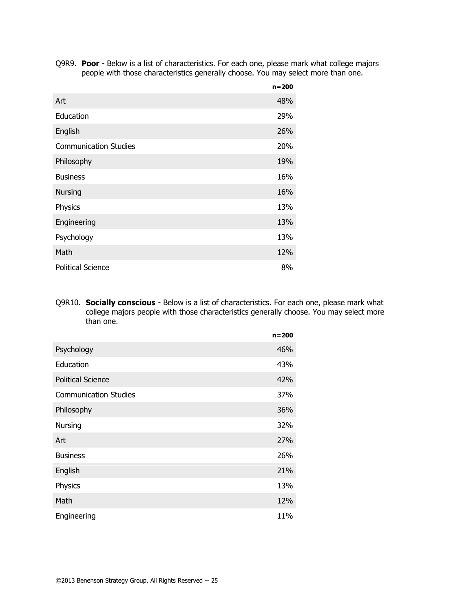Q9R9. **Poor** - Below is a list of characteristics. For each one, please mark what college majors people with those characteristics generally choose. You may select more than one.

|                              | $n = 200$ |
|------------------------------|-----------|
| Art                          | 48%       |
| Education                    | 29%       |
| English                      | 26%       |
| <b>Communication Studies</b> | 20%       |
| Philosophy                   | 19%       |
| <b>Business</b>              | 16%       |
| <b>Nursing</b>               | 16%       |
| Physics                      | 13%       |
| Engineering                  | 13%       |
| Psychology                   | 13%       |
| Math                         | 12%       |
| <b>Political Science</b>     | 8%        |

Q9R10. **Socially conscious** - Below is a list of characteristics. For each one, please mark what college majors people with those characteristics generally choose. You may select more than one.

|                              | $n = 200$ |
|------------------------------|-----------|
| Psychology                   | 46%       |
| Education                    | 43%       |
| <b>Political Science</b>     | 42%       |
| <b>Communication Studies</b> | 37%       |
| Philosophy                   | 36%       |
| Nursing                      | 32%       |
| Art                          | 27%       |
| <b>Business</b>              | 26%       |
| English                      | 21%       |
| Physics                      | 13%       |
| Math                         | 12%       |
| Engineering                  | 11%       |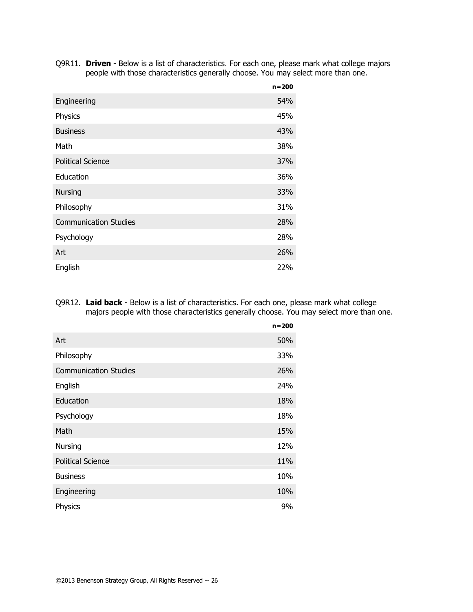Q9R11. **Driven** - Below is a list of characteristics. For each one, please mark what college majors people with those characteristics generally choose. You may select more than one.

|                              | $n = 200$ |
|------------------------------|-----------|
| Engineering                  | 54%       |
| Physics                      | 45%       |
| <b>Business</b>              | 43%       |
| Math                         | 38%       |
| <b>Political Science</b>     | 37%       |
| Education                    | 36%       |
| <b>Nursing</b>               | 33%       |
| Philosophy                   | 31%       |
| <b>Communication Studies</b> | 28%       |
| Psychology                   | 28%       |
| Art                          | 26%       |
| English                      | 22%       |

Q9R12. **Laid back** - Below is a list of characteristics. For each one, please mark what college majors people with those characteristics generally choose. You may select more than one.

|                              | $n = 200$ |
|------------------------------|-----------|
| Art                          | 50%       |
| Philosophy                   | 33%       |
| <b>Communication Studies</b> | 26%       |
| English                      | 24%       |
| Education                    | 18%       |
| Psychology                   | 18%       |
| Math                         | 15%       |
| Nursing                      | 12%       |
| <b>Political Science</b>     | 11%       |
| <b>Business</b>              | 10%       |
| Engineering                  | 10%       |
| Physics                      | 9%        |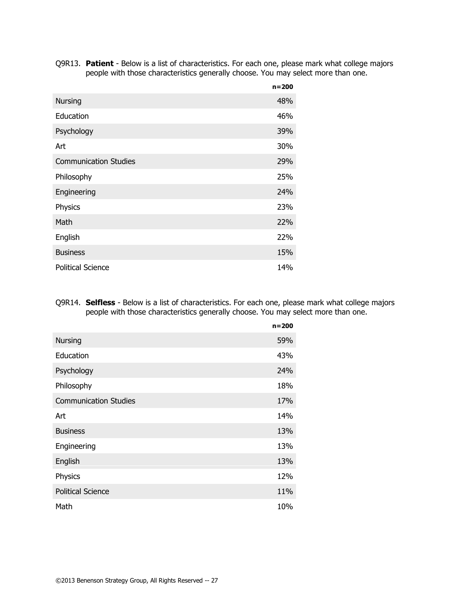Q9R13. **Patient** - Below is a list of characteristics. For each one, please mark what college majors people with those characteristics generally choose. You may select more than one.

|                              | $n = 200$ |
|------------------------------|-----------|
| <b>Nursing</b>               | 48%       |
| Education                    | 46%       |
| Psychology                   | 39%       |
| Art                          | 30%       |
| <b>Communication Studies</b> | 29%       |
| Philosophy                   | 25%       |
| Engineering                  | 24%       |
| Physics                      | 23%       |
| Math                         | 22%       |
| English                      | 22%       |
| <b>Business</b>              | 15%       |
| <b>Political Science</b>     | 14%       |

Q9R14. **Selfless** - Below is a list of characteristics. For each one, please mark what college majors people with those characteristics generally choose. You may select more than one.

|                              | $n = 200$ |
|------------------------------|-----------|
| <b>Nursing</b>               | 59%       |
| Education                    | 43%       |
| Psychology                   | 24%       |
| Philosophy                   | 18%       |
| <b>Communication Studies</b> | 17%       |
| Art                          | 14%       |
| <b>Business</b>              | 13%       |
| Engineering                  | 13%       |
| English                      | 13%       |
| Physics                      | 12%       |
| <b>Political Science</b>     | 11%       |
| Math                         | 10%       |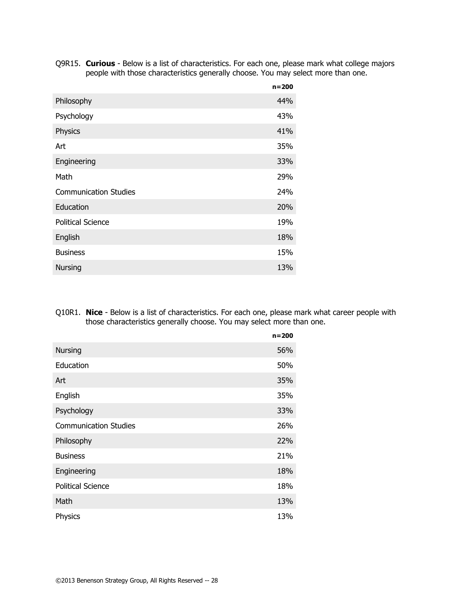Q9R15. **Curious** - Below is a list of characteristics. For each one, please mark what college majors people with those characteristics generally choose. You may select more than one.

|                              | $n = 200$ |
|------------------------------|-----------|
| Philosophy                   | 44%       |
| Psychology                   | 43%       |
| Physics                      | 41%       |
| Art                          | 35%       |
| Engineering                  | 33%       |
| Math                         | 29%       |
| <b>Communication Studies</b> | 24%       |
| Education                    | 20%       |
| <b>Political Science</b>     | 19%       |
| English                      | 18%       |
| <b>Business</b>              | 15%       |
| <b>Nursing</b>               | 13%       |

Q10R1. **Nice** - Below is a list of characteristics. For each one, please mark what career people with those characteristics generally choose. You may select more than one.

|                              | $n = 200$ |
|------------------------------|-----------|
| <b>Nursing</b>               | 56%       |
| Education                    | 50%       |
| Art                          | 35%       |
| English                      | 35%       |
| Psychology                   | 33%       |
| <b>Communication Studies</b> | 26%       |
| Philosophy                   | 22%       |
| <b>Business</b>              | 21%       |
| Engineering                  | 18%       |
| <b>Political Science</b>     | 18%       |
| Math                         | 13%       |
| Physics                      | 13%       |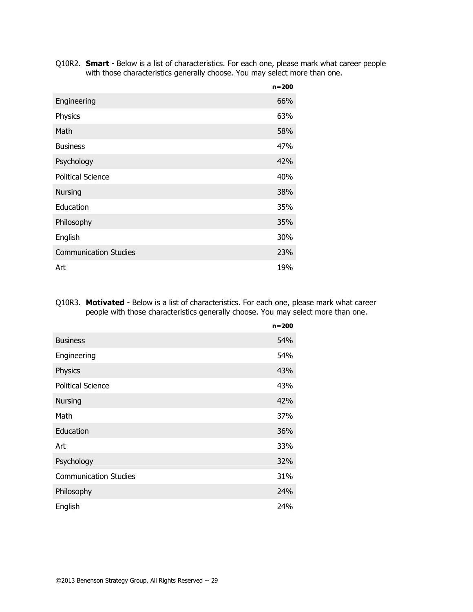Q10R2. **Smart** - Below is a list of characteristics. For each one, please mark what career people with those characteristics generally choose. You may select more than one.

|                              | $n = 200$ |
|------------------------------|-----------|
| Engineering                  | 66%       |
| Physics                      | 63%       |
| Math                         | 58%       |
| <b>Business</b>              | 47%       |
| Psychology                   | 42%       |
| <b>Political Science</b>     | 40%       |
| <b>Nursing</b>               | 38%       |
| Education                    | 35%       |
| Philosophy                   | 35%       |
| English                      | 30%       |
| <b>Communication Studies</b> | 23%       |
| Art                          | 19%       |

Q10R3. **Motivated** - Below is a list of characteristics. For each one, please mark what career people with those characteristics generally choose. You may select more than one.

|                              | $n = 200$ |
|------------------------------|-----------|
| <b>Business</b>              | 54%       |
| Engineering                  | 54%       |
| Physics                      | 43%       |
| <b>Political Science</b>     | 43%       |
| <b>Nursing</b>               | 42%       |
| Math                         | 37%       |
| Education                    | 36%       |
| Art                          | 33%       |
| Psychology                   | 32%       |
| <b>Communication Studies</b> | 31%       |
| Philosophy                   | 24%       |
| English                      | 24%       |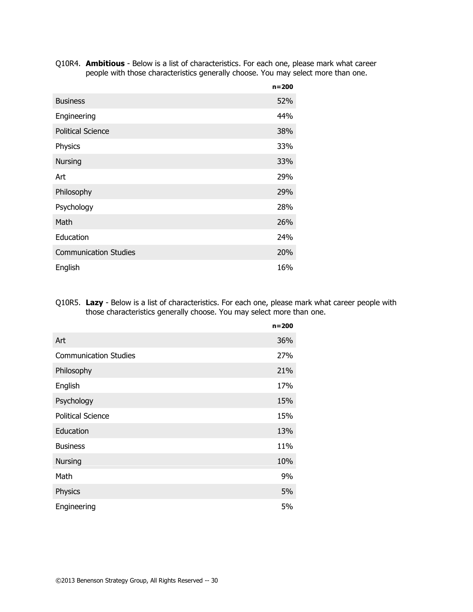Q10R4. **Ambitious** - Below is a list of characteristics. For each one, please mark what career people with those characteristics generally choose. You may select more than one.

|                              | $n = 200$ |
|------------------------------|-----------|
| <b>Business</b>              | 52%       |
| Engineering                  | 44%       |
| <b>Political Science</b>     | 38%       |
| Physics                      | 33%       |
| <b>Nursing</b>               | 33%       |
| Art                          | 29%       |
| Philosophy                   | 29%       |
| Psychology                   | 28%       |
| Math                         | 26%       |
| Education                    | 24%       |
| <b>Communication Studies</b> | 20%       |
| English                      | 16%       |

Q10R5. **Lazy** - Below is a list of characteristics. For each one, please mark what career people with those characteristics generally choose. You may select more than one.

|                              | $n = 200$ |
|------------------------------|-----------|
| Art                          | 36%       |
| <b>Communication Studies</b> | 27%       |
| Philosophy                   | 21%       |
| English                      | 17%       |
| Psychology                   | 15%       |
| <b>Political Science</b>     | 15%       |
| Education                    | 13%       |
| <b>Business</b>              | 11%       |
| <b>Nursing</b>               | 10%       |
| Math                         | 9%        |
| Physics                      | 5%        |
| Engineering                  | 5%        |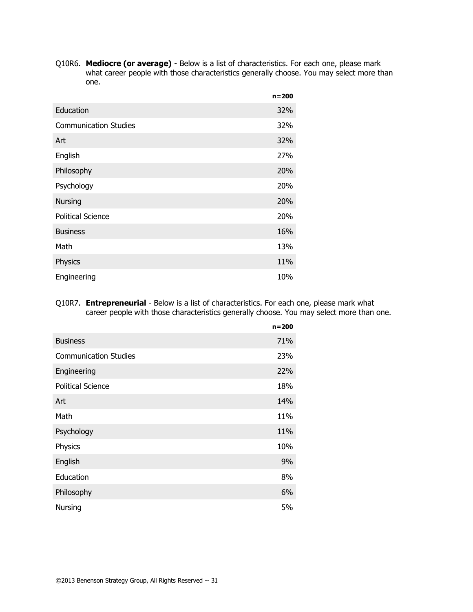Q10R6. **Mediocre (or average)** - Below is a list of characteristics. For each one, please mark what career people with those characteristics generally choose. You may select more than one.

|                              | $n = 200$ |
|------------------------------|-----------|
| Education                    | 32%       |
| <b>Communication Studies</b> | 32%       |
| Art                          | 32%       |
| English                      | 27%       |
| Philosophy                   | 20%       |
| Psychology                   | 20%       |
| <b>Nursing</b>               | 20%       |
| <b>Political Science</b>     | 20%       |
| <b>Business</b>              | 16%       |
| Math                         | 13%       |
| Physics                      | 11%       |
| Engineering                  | 10%       |

Q10R7. **Entrepreneurial** - Below is a list of characteristics. For each one, please mark what career people with those characteristics generally choose. You may select more than one.

|                              | $n = 200$ |
|------------------------------|-----------|
| <b>Business</b>              | 71%       |
| <b>Communication Studies</b> | 23%       |
| Engineering                  | 22%       |
| <b>Political Science</b>     | 18%       |
| Art                          | 14%       |
| Math                         | 11%       |
| Psychology                   | 11%       |
| Physics                      | 10%       |
| English                      | 9%        |
| Education                    | 8%        |
| Philosophy                   | 6%        |
| <b>Nursing</b>               | 5%        |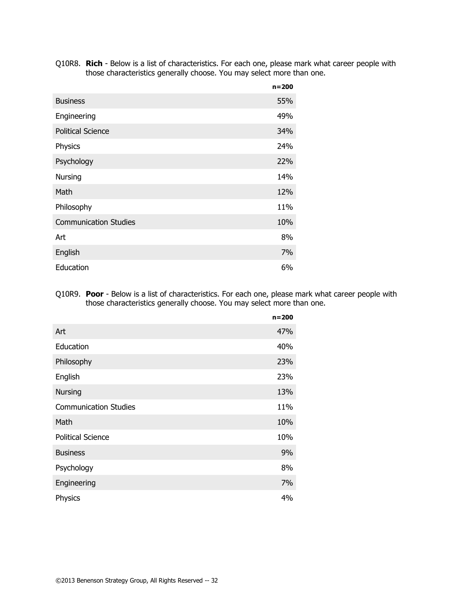Q10R8. **Rich** - Below is a list of characteristics. For each one, please mark what career people with those characteristics generally choose. You may select more than one.

|                              | $n = 200$  |
|------------------------------|------------|
| <b>Business</b>              | 55%        |
| Engineering                  | 49%        |
| <b>Political Science</b>     | 34%        |
| Physics                      | 24%        |
| Psychology                   | <b>22%</b> |
| Nursing                      | 14%        |
| Math                         | 12%        |
| Philosophy                   | 11%        |
| <b>Communication Studies</b> | 10%        |
| Art                          | 8%         |
| English                      | 7%         |
| Education                    | 6%         |

Q10R9. **Poor** - Below is a list of characteristics. For each one, please mark what career people with those characteristics generally choose. You may select more than one.

|                              | $n = 200$ |
|------------------------------|-----------|
| Art                          | 47%       |
| Education                    | 40%       |
| Philosophy                   | 23%       |
| English                      | 23%       |
| <b>Nursing</b>               | 13%       |
| <b>Communication Studies</b> | 11%       |
| Math                         | 10%       |
| <b>Political Science</b>     | 10%       |
| <b>Business</b>              | 9%        |
| Psychology                   | 8%        |
| Engineering                  | 7%        |
| Physics                      | 4%        |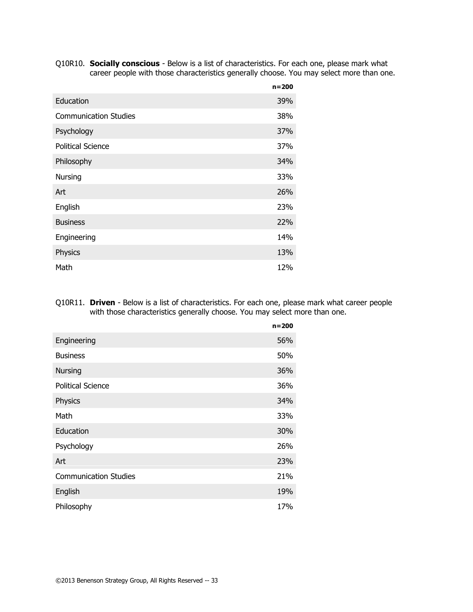Q10R10. **Socially conscious** - Below is a list of characteristics. For each one, please mark what career people with those characteristics generally choose. You may select more than one.

|                              | $n = 200$ |
|------------------------------|-----------|
| Education                    | 39%       |
| <b>Communication Studies</b> | 38%       |
| Psychology                   | 37%       |
| <b>Political Science</b>     | 37%       |
| Philosophy                   | 34%       |
| Nursing                      | 33%       |
| Art                          | 26%       |
| English                      | 23%       |
| <b>Business</b>              | 22%       |
| Engineering                  | 14%       |
| Physics                      | 13%       |
| Math                         | 12%       |

Q10R11. **Driven** - Below is a list of characteristics. For each one, please mark what career people with those characteristics generally choose. You may select more than one.

|                              | $n = 200$ |
|------------------------------|-----------|
| Engineering                  | 56%       |
| <b>Business</b>              | 50%       |
| <b>Nursing</b>               | 36%       |
| <b>Political Science</b>     | 36%       |
| Physics                      | 34%       |
| Math                         | 33%       |
| Education                    | 30%       |
| Psychology                   | 26%       |
| Art                          | 23%       |
| <b>Communication Studies</b> | 21%       |
| English                      | 19%       |
| Philosophy                   | 17%       |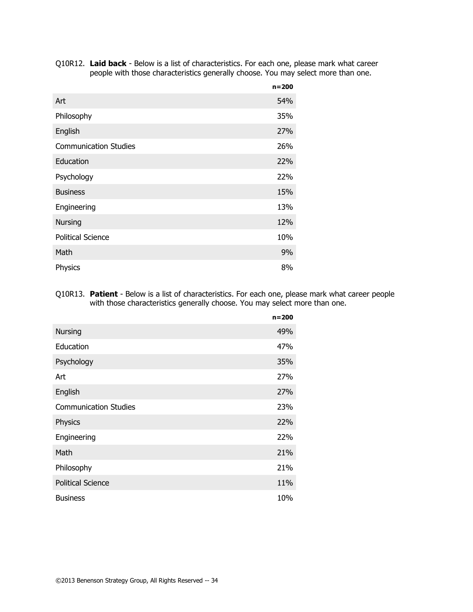| Q10R12. Laid back - Below is a list of characteristics. For each one, please mark what career |
|-----------------------------------------------------------------------------------------------|
| people with those characteristics generally choose. You may select more than one.             |

|                              | $n = 200$ |
|------------------------------|-----------|
| Art                          | 54%       |
| Philosophy                   | 35%       |
| English                      | 27%       |
| <b>Communication Studies</b> | 26%       |
| Education                    | 22%       |
| Psychology                   | 22%       |
| <b>Business</b>              | 15%       |
| Engineering                  | 13%       |
| <b>Nursing</b>               | 12%       |
| <b>Political Science</b>     | 10%       |
| Math                         | 9%        |
| Physics                      | 8%        |

#### Q10R13. **Patient** - Below is a list of characteristics. For each one, please mark what career people with those characteristics generally choose. You may select more than one.

|                              | $n = 200$ |
|------------------------------|-----------|
| <b>Nursing</b>               | 49%       |
| Education                    | 47%       |
| Psychology                   | 35%       |
| Art                          | 27%       |
| English                      | 27%       |
| <b>Communication Studies</b> | 23%       |
| Physics                      | 22%       |
| Engineering                  | 22%       |
| Math                         | 21%       |
| Philosophy                   | 21%       |
| <b>Political Science</b>     | 11%       |
| <b>Business</b>              | 10%       |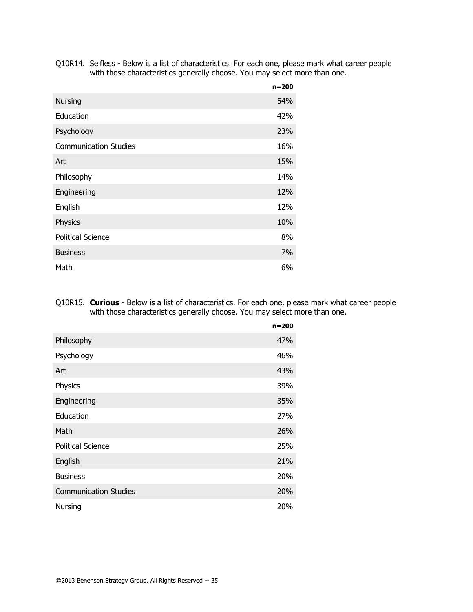Q10R14. Selfless - Below is a list of characteristics. For each one, please mark what career people with those characteristics generally choose. You may select more than one.

|                              | $n = 200$ |
|------------------------------|-----------|
| <b>Nursing</b>               | 54%       |
| Education                    | 42%       |
| Psychology                   | 23%       |
| <b>Communication Studies</b> | 16%       |
| Art                          | 15%       |
| Philosophy                   | 14%       |
| Engineering                  | 12%       |
| English                      | 12%       |
| Physics                      | 10%       |
| <b>Political Science</b>     | 8%        |
| <b>Business</b>              | 7%        |
| Math                         | 6%        |

Q10R15. **Curious** - Below is a list of characteristics. For each one, please mark what career people with those characteristics generally choose. You may select more than one.

|                              | $n = 200$ |
|------------------------------|-----------|
| Philosophy                   | 47%       |
| Psychology                   | 46%       |
| Art                          | 43%       |
| Physics                      | 39%       |
| Engineering                  | 35%       |
| Education                    | 27%       |
| Math                         | 26%       |
| <b>Political Science</b>     | 25%       |
| English                      | 21%       |
| <b>Business</b>              | 20%       |
| <b>Communication Studies</b> | 20%       |
| <b>Nursing</b>               | 20%       |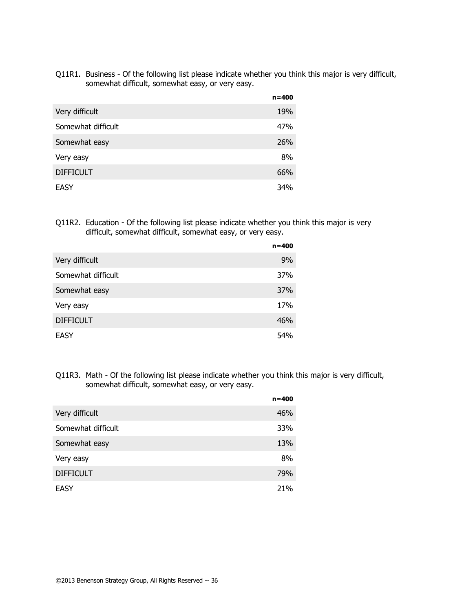Q11R1. Business - Of the following list please indicate whether you think this major is very difficult, somewhat difficult, somewhat easy, or very easy.

|                    | $n = 400$ |
|--------------------|-----------|
| Very difficult     | 19%       |
| Somewhat difficult | 47%       |
| Somewhat easy      | 26%       |
| Very easy          | 8%        |
| <b>DIFFICULT</b>   | 66%       |
| <b>EASY</b>        | 34%       |

Q11R2. Education - Of the following list please indicate whether you think this major is very difficult, somewhat difficult, somewhat easy, or very easy.

|                    | $n = 400$  |
|--------------------|------------|
| Very difficult     | 9%         |
| Somewhat difficult | <b>37%</b> |
| Somewhat easy      | 37%        |
| Very easy          | 17%        |
| <b>DIFFICULT</b>   | 46%        |
| EASY               | 54%        |

Q11R3. Math - Of the following list please indicate whether you think this major is very difficult, somewhat difficult, somewhat easy, or very easy.

|                    | $n = 400$ |
|--------------------|-----------|
| Very difficult     | 46%       |
| Somewhat difficult | 33%       |
| Somewhat easy      | 13%       |
| Very easy          | 8%        |
| <b>DIFFICULT</b>   | 79%       |
| EASY               | 21%       |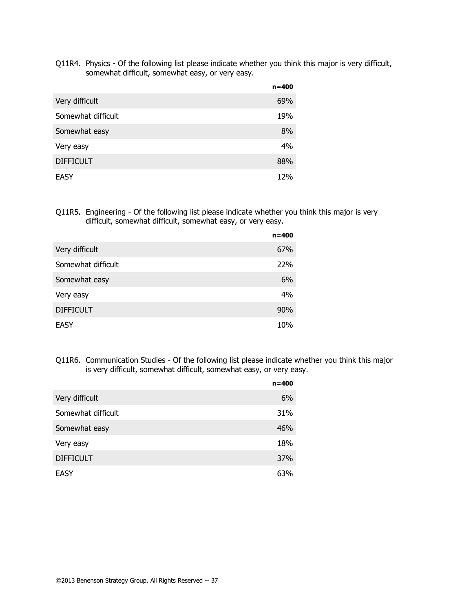Q11R4. Physics - Of the following list please indicate whether you think this major is very difficult, somewhat difficult, somewhat easy, or very easy.

|                    | $n = 400$ |
|--------------------|-----------|
| Very difficult     | 69%       |
| Somewhat difficult | 19%       |
| Somewhat easy      | 8%        |
| Very easy          | 4%        |
| <b>DIFFICULT</b>   | 88%       |
| <b>EASY</b>        | 12%       |

Q11R5. Engineering - Of the following list please indicate whether you think this major is very difficult, somewhat difficult, somewhat easy, or very easy.

|                    | $n = 400$ |
|--------------------|-----------|
| Very difficult     | 67%       |
| Somewhat difficult | 22%       |
| Somewhat easy      | 6%        |
| Very easy          | 4%        |
| <b>DIFFICULT</b>   | 90%       |
| EASY               | 10%       |

Q11R6. Communication Studies - Of the following list please indicate whether you think this major is very difficult, somewhat difficult, somewhat easy, or very easy.

|                    | $n = 400$ |
|--------------------|-----------|
| Very difficult     | 6%        |
| Somewhat difficult | 31%       |
| Somewhat easy      | 46%       |
| Very easy          | 18%       |
| <b>DIFFICULT</b>   | 37%       |
| EASY               | 63%       |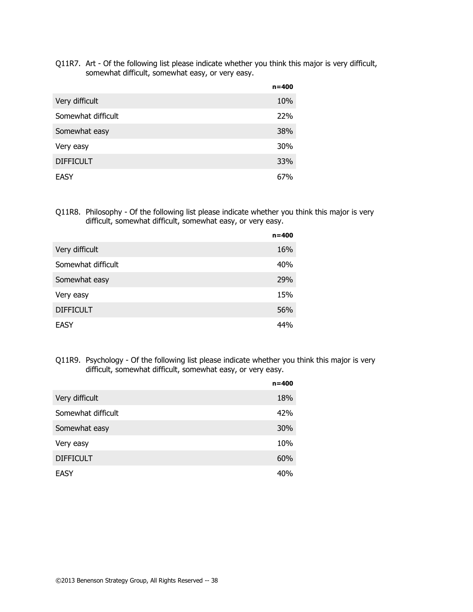Q11R7. Art - Of the following list please indicate whether you think this major is very difficult, somewhat difficult, somewhat easy, or very easy.

|                    | $n = 400$  |
|--------------------|------------|
| Very difficult     | 10%        |
| Somewhat difficult | <b>22%</b> |
| Somewhat easy      | 38%        |
| Very easy          | 30%        |
| <b>DIFFICULT</b>   | 33%        |
| EASY               | 67%        |

Q11R8. Philosophy - Of the following list please indicate whether you think this major is very difficult, somewhat difficult, somewhat easy, or very easy.

|                    | $n = 400$ |
|--------------------|-----------|
| Very difficult     | 16%       |
| Somewhat difficult | 40%       |
| Somewhat easy      | 29%       |
| Very easy          | 15%       |
| <b>DIFFICULT</b>   | 56%       |
| <b>EASY</b>        | 44%       |

Q11R9. Psychology - Of the following list please indicate whether you think this major is very difficult, somewhat difficult, somewhat easy, or very easy.

|                    | $n = 400$ |
|--------------------|-----------|
| Very difficult     | 18%       |
| Somewhat difficult | 42%       |
| Somewhat easy      | 30%       |
| Very easy          | 10%       |
| <b>DIFFICULT</b>   | 60%       |
| <b>EASY</b>        | 40%       |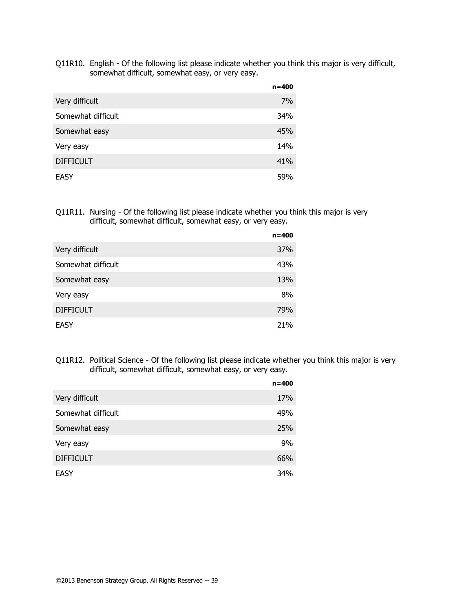Q11R10. English - Of the following list please indicate whether you think this major is very difficult, somewhat difficult, somewhat easy, or very easy.

|                    | $n = 400$ |
|--------------------|-----------|
| Very difficult     | 7%        |
| Somewhat difficult | 34%       |
| Somewhat easy      | 45%       |
| Very easy          | 14%       |
| <b>DIFFICULT</b>   | 41%       |
| EASY               | 59%       |

Q11R11. Nursing - Of the following list please indicate whether you think this major is very difficult, somewhat difficult, somewhat easy, or very easy.

|                    | n=400 |
|--------------------|-------|
| Very difficult     | 37%   |
| Somewhat difficult | 43%   |
| Somewhat easy      | 13%   |
| Very easy          | 8%    |
| <b>DIFFICULT</b>   | 79%   |
| EASY               | 21%   |

Q11R12. Political Science - Of the following list please indicate whether you think this major is very difficult, somewhat difficult, somewhat easy, or very easy.

|                    | $n = 400$ |
|--------------------|-----------|
| Very difficult     | 17%       |
| Somewhat difficult | 49%       |
| Somewhat easy      | 25%       |
| Very easy          | 9%        |
| <b>DIFFICULT</b>   | 66%       |
| <b>EASY</b>        | 34%       |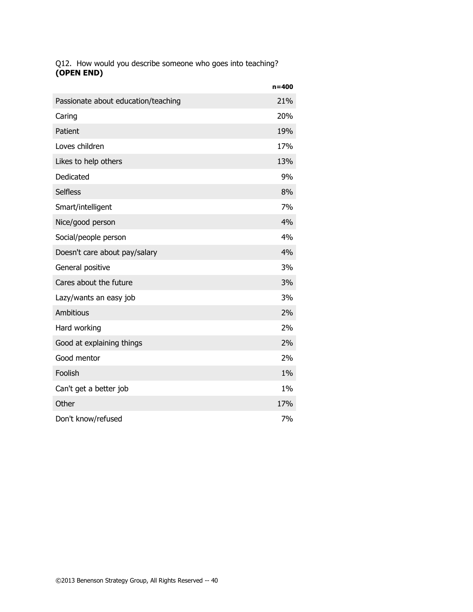Q12. How would you describe someone who goes into teaching? **(OPEN END)**

|                                     | $n = 400$ |
|-------------------------------------|-----------|
| Passionate about education/teaching | 21%       |
| Caring                              | 20%       |
| Patient                             | 19%       |
| Loves children                      | 17%       |
| Likes to help others                | 13%       |
| Dedicated                           | 9%        |
| <b>Selfless</b>                     | 8%        |
| Smart/intelligent                   | 7%        |
| Nice/good person                    | 4%        |
| Social/people person                | 4%        |
| Doesn't care about pay/salary       | 4%        |
| General positive                    | 3%        |
| Cares about the future              | 3%        |
| Lazy/wants an easy job              | 3%        |
| Ambitious                           | 2%        |
| Hard working                        | 2%        |
| Good at explaining things           | 2%        |
| Good mentor                         | 2%        |
| Foolish                             | 1%        |
| Can't get a better job              | 1%        |
| Other                               | 17%       |
| Don't know/refused                  | 7%        |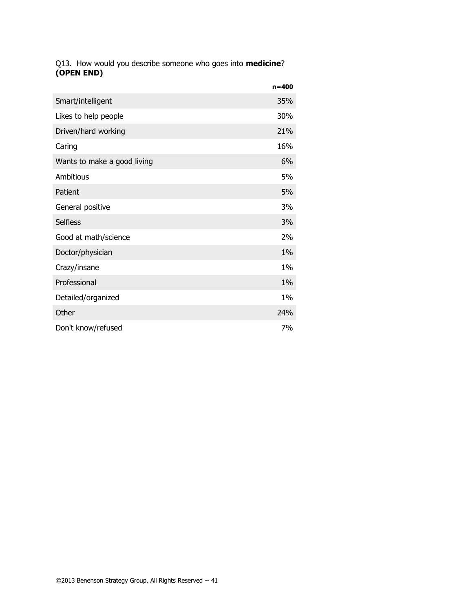Q13. How would you describe someone who goes into **medicine**? **(OPEN END)**

|                             | $n = 400$ |
|-----------------------------|-----------|
| Smart/intelligent           | 35%       |
| Likes to help people        | 30%       |
| Driven/hard working         | 21%       |
| Caring                      | 16%       |
| Wants to make a good living | 6%        |
| Ambitious                   | 5%        |
| Patient                     | 5%        |
| General positive            | 3%        |
| <b>Selfless</b>             | 3%        |
| Good at math/science        | 2%        |
| Doctor/physician            | 1%        |
| Crazy/insane                | $1\%$     |
| Professional                | 1%        |
| Detailed/organized          | $1\%$     |
| Other                       | 24%       |
| Don't know/refused          | 7%        |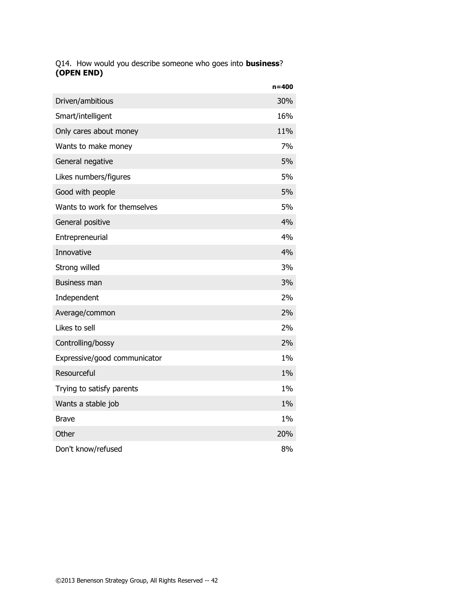### Q14. How would you describe someone who goes into **business**? **(OPEN END)**

|                              | $n = 400$ |
|------------------------------|-----------|
| Driven/ambitious             | 30%       |
| Smart/intelligent            | 16%       |
| Only cares about money       | 11%       |
| Wants to make money          | 7%        |
| General negative             | 5%        |
| Likes numbers/figures        | 5%        |
| Good with people             | 5%        |
| Wants to work for themselves | 5%        |
| General positive             | 4%        |
| Entrepreneurial              | 4%        |
| Innovative                   | 4%        |
| Strong willed                | 3%        |
| <b>Business man</b>          | 3%        |
| Independent                  | 2%        |
| Average/common               | 2%        |
| Likes to sell                | 2%        |
| Controlling/bossy            | 2%        |
| Expressive/good communicator | 1%        |
| Resourceful                  | $1\%$     |
| Trying to satisfy parents    | 1%        |
| Wants a stable job           | 1%        |
| <b>Brave</b>                 | $1\%$     |
| Other                        | 20%       |
| Don't know/refused           | 8%        |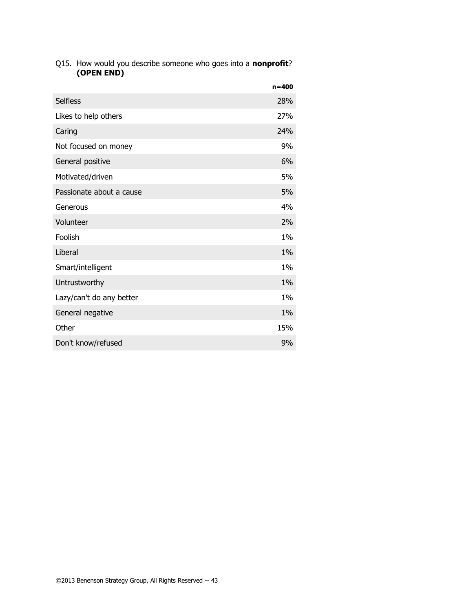| Q15. How would you describe someone who goes into a <b>nonprofit</b> ? |
|------------------------------------------------------------------------|
| (OPEN END)                                                             |

|                          | $n = 400$ |
|--------------------------|-----------|
| <b>Selfless</b>          | 28%       |
| Likes to help others     | 27%       |
| Caring                   | 24%       |
| Not focused on money     | 9%        |
| General positive         | 6%        |
| Motivated/driven         | 5%        |
| Passionate about a cause | 5%        |
| Generous                 | 4%        |
| Volunteer                | 2%        |
| Foolish                  | $1\%$     |
| Liberal                  | 1%        |
| Smart/intelligent        | $1\%$     |
| Untrustworthy            | 1%        |
| Lazy/can't do any better | $1\%$     |
| General negative         | $1\%$     |
| Other                    | 15%       |
| Don't know/refused       | 9%        |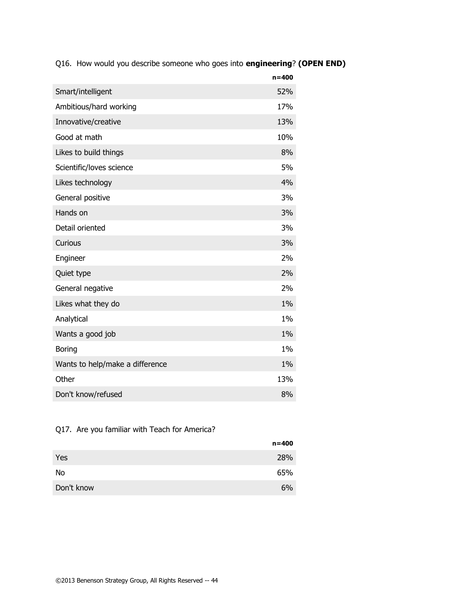Q16. How would you describe someone who goes into **engineering**? **(OPEN END)**

|                                 | $n = 400$ |
|---------------------------------|-----------|
| Smart/intelligent               | 52%       |
| Ambitious/hard working          | 17%       |
| Innovative/creative             | 13%       |
| Good at math                    | 10%       |
| Likes to build things           | 8%        |
| Scientific/loves science        | 5%        |
| Likes technology                | 4%        |
| General positive                | 3%        |
| Hands on                        | 3%        |
| Detail oriented                 | 3%        |
| Curious                         | 3%        |
| Engineer                        | 2%        |
| Quiet type                      | 2%        |
| General negative                | 2%        |
| Likes what they do              | 1%        |
| Analytical                      | $1\%$     |
| Wants a good job                | $1\%$     |
| <b>Boring</b>                   | $1\%$     |
| Wants to help/make a difference | 1%        |
| Other                           | 13%       |
| Don't know/refused              | 8%        |

## Q17. Are you familiar with Teach for America?

|            | n=400 |
|------------|-------|
| Yes        | 28%   |
| No         | 65%   |
| Don't know | 6%    |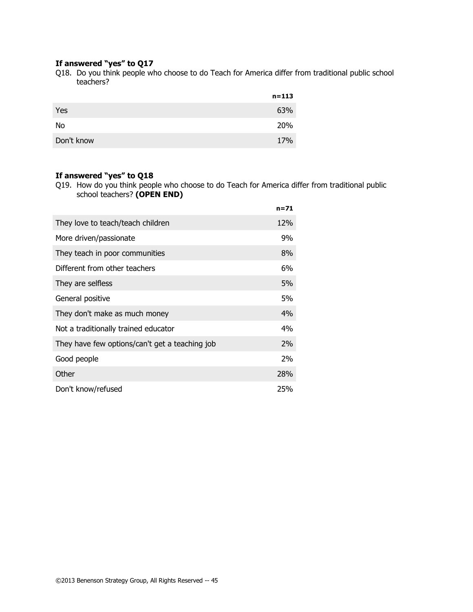#### **If answered "yes" to Q17**

Q18. Do you think people who choose to do Teach for America differ from traditional public school teachers?

|            | $n = 113$ |
|------------|-----------|
| Yes        | 63%       |
| No         | 20%       |
| Don't know | 17%       |

## **If answered "yes" to Q18**

Q19. How do you think people who choose to do Teach for America differ from traditional public school teachers? **(OPEN END)**

|                                                | $n = 71$ |
|------------------------------------------------|----------|
| They love to teach/teach children              | 12%      |
| More driven/passionate                         | 9%       |
| They teach in poor communities                 | 8%       |
| Different from other teachers                  | 6%       |
| They are selfless                              | 5%       |
| General positive                               | 5%       |
| They don't make as much money                  | 4%       |
| Not a traditionally trained educator           | 4%       |
| They have few options/can't get a teaching job | 2%       |
| Good people                                    | 2%       |
| Other                                          | 28%      |
| Don't know/refused                             | 25%      |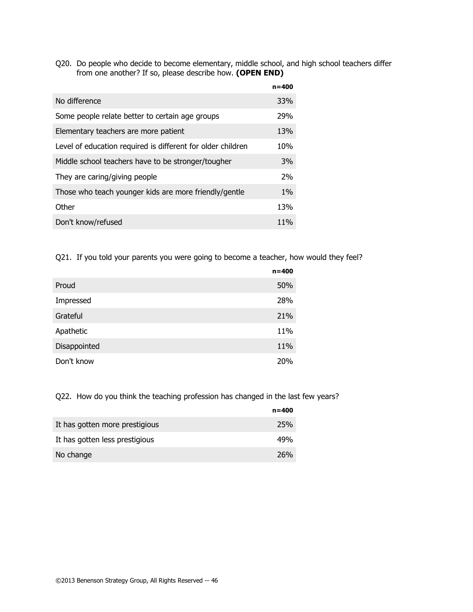Q20. Do people who decide to become elementary, middle school, and high school teachers differ from one another? If so, please describe how. **(OPEN END)**

|                                                             | $n = 400$       |
|-------------------------------------------------------------|-----------------|
| No difference                                               | <b>33%</b>      |
| Some people relate better to certain age groups             | 29%             |
| Elementary teachers are more patient                        | 13%             |
| Level of education required is different for older children | 10%             |
| Middle school teachers have to be stronger/tougher          | 3%              |
| They are caring/giving people                               | 2%              |
| Those who teach younger kids are more friendly/gentle       | $1\%$           |
| Other                                                       | 13%             |
| Don't know/refused                                          | 11 <sub>%</sub> |

Q21. If you told your parents you were going to become a teacher, how would they feel?

|              | $n = 400$ |
|--------------|-----------|
| Proud        | 50%       |
| Impressed    | 28%       |
| Grateful     | 21%       |
| Apathetic    | 11%       |
| Disappointed | 11%       |
| Don't know   | 20%       |

Q22. How do you think the teaching profession has changed in the last few years?

|                                | $n = 400$  |
|--------------------------------|------------|
| It has gotten more prestigious | 25%        |
| It has gotten less prestigious | 49%        |
| No change                      | <b>26%</b> |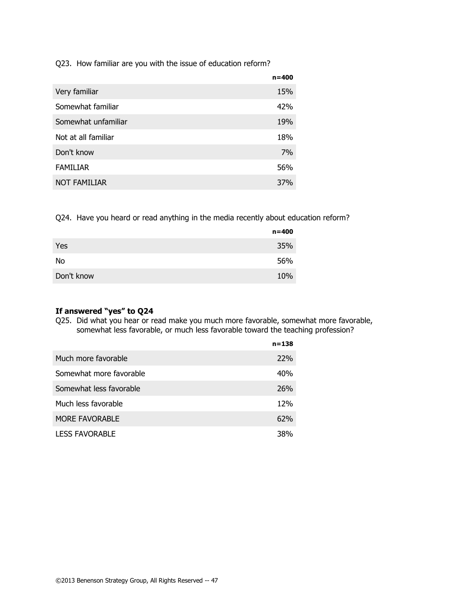Q23. How familiar are you with the issue of education reform?

|                     | $n = 400$  |
|---------------------|------------|
| Very familiar       | 15%        |
| Somewhat familiar   | 42%        |
| Somewhat unfamiliar | 19%        |
| Not at all familiar | 18%        |
| Don't know          | 7%         |
| <b>FAMILIAR</b>     | 56%        |
| <b>NOT FAMILIAR</b> | <b>37%</b> |

Q24. Have you heard or read anything in the media recently about education reform?

|            | $n = 400$ |
|------------|-----------|
| Yes        | 35%       |
| No         | 56%       |
| Don't know | 10%       |

#### **If answered "yes" to Q24**

Q25. Did what you hear or read make you much more favorable, somewhat more favorable, somewhat less favorable, or much less favorable toward the teaching profession?

|                         | $n = 138$  |
|-------------------------|------------|
| Much more favorable     | 22%        |
| Somewhat more favorable | 40%        |
| Somewhat less favorable | <b>26%</b> |
| Much less favorable     | 12%        |
| <b>MORE FAVORABLE</b>   | 62%        |
| <b>LESS FAVORABLE</b>   | 38%        |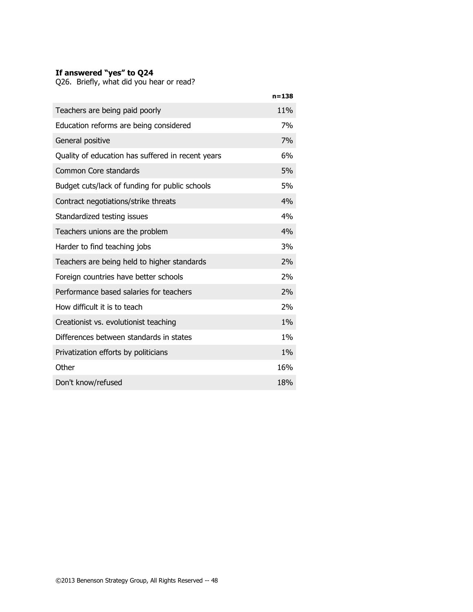### **If answered "yes" to Q24**

Q26. Briefly, what did you hear or read?

|                                                   | $n = 138$ |
|---------------------------------------------------|-----------|
| Teachers are being paid poorly                    | 11%       |
| Education reforms are being considered            | 7%        |
| General positive                                  | 7%        |
| Quality of education has suffered in recent years | 6%        |
| Common Core standards                             | 5%        |
| Budget cuts/lack of funding for public schools    | 5%        |
| Contract negotiations/strike threats              | 4%        |
| Standardized testing issues                       | 4%        |
| Teachers unions are the problem                   | 4%        |
| Harder to find teaching jobs                      | 3%        |
| Teachers are being held to higher standards       | 2%        |
| Foreign countries have better schools             | 2%        |
| Performance based salaries for teachers           | 2%        |
| How difficult it is to teach                      | 2%        |
| Creationist vs. evolutionist teaching             | $1\%$     |
| Differences between standards in states           | $1\%$     |
| Privatization efforts by politicians              | 1%        |
| Other                                             | 16%       |
| Don't know/refused                                | 18%       |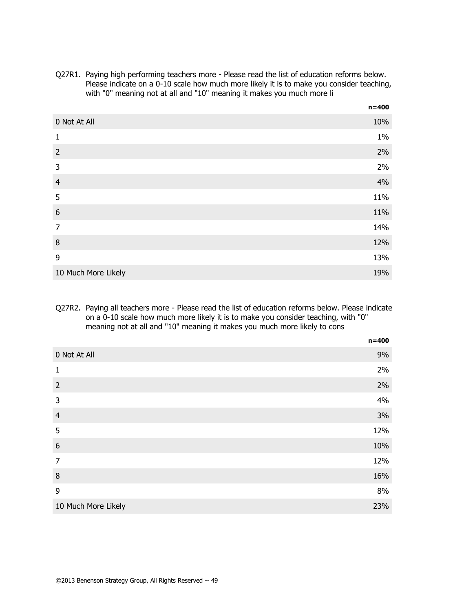Q27R1. Paying high performing teachers more - Please read the list of education reforms below. Please indicate on a 0-10 scale how much more likely it is to make you consider teaching, with "0" meaning not at all and "10" meaning it makes you much more li

|                     | $n = 400$ |
|---------------------|-----------|
| 0 Not At All        | 10%       |
| $\mathbf{1}$        | $1\%$     |
| $\overline{2}$      | 2%        |
| 3                   | 2%        |
| $\overline{4}$      | 4%        |
| 5                   | 11%       |
| 6                   | 11%       |
| $\overline{7}$      | 14%       |
| 8                   | 12%       |
| 9                   | 13%       |
| 10 Much More Likely | 19%       |

Q27R2. Paying all teachers more - Please read the list of education reforms below. Please indicate on a 0-10 scale how much more likely it is to make you consider teaching, with "0" meaning not at all and "10" meaning it makes you much more likely to cons

|                     | $n = 400$ |
|---------------------|-----------|
| 0 Not At All        | 9%        |
| $\mathbf{1}$        | 2%        |
| $\overline{2}$      | 2%        |
| 3                   | 4%        |
| $\overline{4}$      | 3%        |
| 5                   | 12%       |
| $6\phantom{1}6$     | 10%       |
| $\overline{7}$      | 12%       |
| $\,8\,$             | 16%       |
| 9                   | 8%        |
| 10 Much More Likely | 23%       |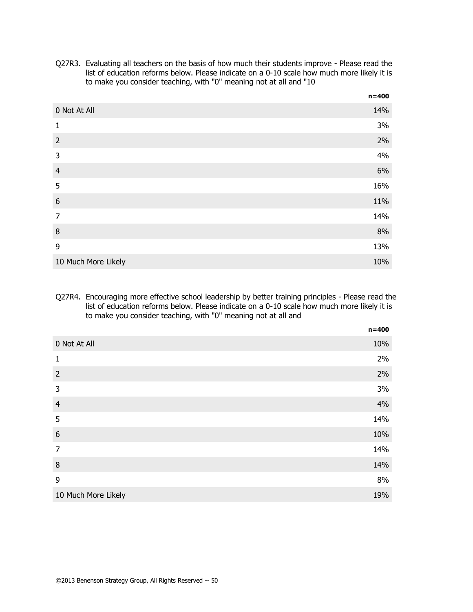|                     | $n = 400$ |
|---------------------|-----------|
| 0 Not At All        | 14%       |
| $\mathbf{1}$        | 3%        |
| $\overline{2}$      | 2%        |
| 3                   | 4%        |
| $\overline{4}$      | 6%        |
| 5                   | 16%       |
| $6\,$               | 11%       |
| $\overline{7}$      | 14%       |
| $\, 8$              | 8%        |
| 9                   | 13%       |
| 10 Much More Likely | 10%       |

Q27R3. Evaluating all teachers on the basis of how much their students improve - Please read the list of education reforms below. Please indicate on a 0-10 scale how much more likely it is to make you consider teaching, with "0" meaning not at all and "10

#### Q27R4. Encouraging more effective school leadership by better training principles - Please read the list of education reforms below. Please indicate on a 0-10 scale how much more likely it is to make you consider teaching, with "0" meaning not at all and

|                     | $n = 400$ |
|---------------------|-----------|
| 0 Not At All        | 10%       |
| $\mathbf{1}$        | 2%        |
| $\overline{2}$      | 2%        |
| $\mathsf{3}$        | 3%        |
| $\overline{4}$      | 4%        |
| 5                   | 14%       |
| $\boldsymbol{6}$    | 10%       |
| $\overline{7}$      | 14%       |
| $\,8\,$             | 14%       |
| 9                   | 8%        |
| 10 Much More Likely | 19%       |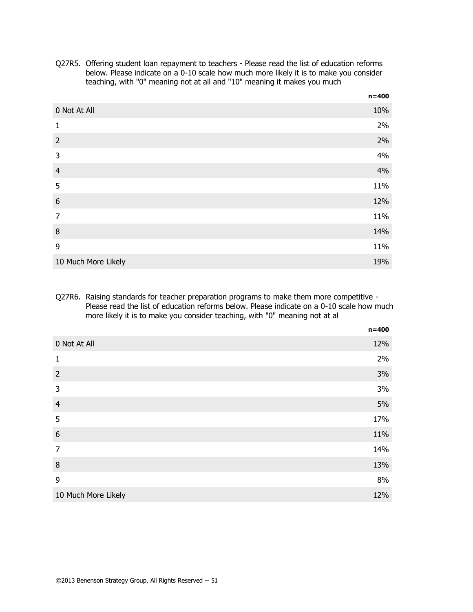|                     | $n = 400$ |
|---------------------|-----------|
| 0 Not At All        | 10%       |
| 1                   | 2%        |
| $\overline{2}$      | 2%        |
| 3                   | 4%        |
| $\overline{4}$      | 4%        |
| 5                   | 11%       |
| $6\,$               | 12%       |
| $\overline{7}$      | 11%       |
| $\,8\,$             | 14%       |
| 9                   | 11%       |
| 10 Much More Likely | 19%       |

Q27R5. Offering student loan repayment to teachers - Please read the list of education reforms below. Please indicate on a 0-10 scale how much more likely it is to make you consider teaching, with "0" meaning not at all and "10" meaning it makes you much

### Q27R6. Raising standards for teacher preparation programs to make them more competitive - Please read the list of education reforms below. Please indicate on a 0-10 scale how much more likely it is to make you consider teaching, with "0" meaning not at al

|                     | $n = 400$ |
|---------------------|-----------|
| 0 Not At All        | 12%       |
| $\mathbf{1}$        | 2%        |
| $\overline{2}$      | 3%        |
| 3                   | 3%        |
| $\overline{4}$      | 5%        |
| 5                   | 17%       |
| $6\,$               | 11%       |
| $\overline{7}$      | 14%       |
| $\, 8$              | 13%       |
| 9                   | 8%        |
| 10 Much More Likely | 12%       |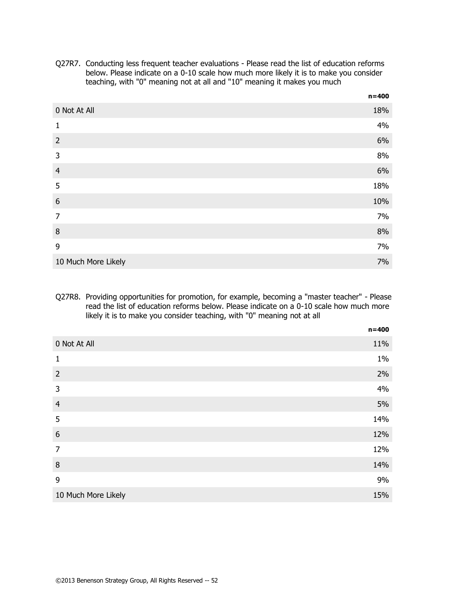|                     | $n = 400$ |
|---------------------|-----------|
| 0 Not At All        | 18%       |
| $\mathbf{1}$        | 4%        |
| $\overline{2}$      | 6%        |
| 3                   | 8%        |
| $\overline{4}$      | 6%        |
| 5                   | 18%       |
| $6\,$               | 10%       |
| $\overline{7}$      | 7%        |
| $\, 8$              | 8%        |
| 9                   | 7%        |
| 10 Much More Likely | 7%        |

Q27R7. Conducting less frequent teacher evaluations - Please read the list of education reforms below. Please indicate on a 0-10 scale how much more likely it is to make you consider teaching, with "0" meaning not at all and "10" meaning it makes you much

#### Q27R8. Providing opportunities for promotion, for example, becoming a "master teacher" - Please read the list of education reforms below. Please indicate on a 0-10 scale how much more likely it is to make you consider teaching, with "0" meaning not at all

|                     | $n = 400$ |
|---------------------|-----------|
| 0 Not At All        | 11%       |
| $\mathbf{1}$        | $1\%$     |
| $\overline{2}$      | 2%        |
| $\mathsf{3}$        | 4%        |
| $\overline{4}$      | 5%        |
| 5                   | 14%       |
| $\boldsymbol{6}$    | 12%       |
| $\overline{7}$      | 12%       |
| $\,8\,$             | 14%       |
| 9                   | 9%        |
| 10 Much More Likely | 15%       |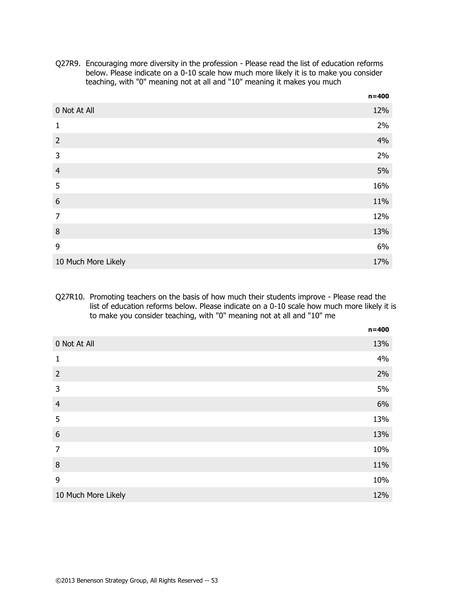|                     | $n = 400$ |
|---------------------|-----------|
| 0 Not At All        | 12%       |
| 1                   | 2%        |
| $\overline{2}$      | 4%        |
| 3                   | 2%        |
| $\overline{4}$      | 5%        |
| 5                   | 16%       |
| 6                   | 11%       |
| $\overline{7}$      | 12%       |
| $\,8\,$             | 13%       |
| 9                   | 6%        |
| 10 Much More Likely | 17%       |

Q27R9. Encouraging more diversity in the profession - Please read the list of education reforms below. Please indicate on a 0-10 scale how much more likely it is to make you consider teaching, with "0" meaning not at all and "10" meaning it makes you much

#### Q27R10. Promoting teachers on the basis of how much their students improve - Please read the list of education reforms below. Please indicate on a 0-10 scale how much more likely it is to make you consider teaching, with "0" meaning not at all and "10" me

|                     | $n = 400$ |
|---------------------|-----------|
| 0 Not At All        | 13%       |
| $\mathbf{1}$        | 4%        |
| $\overline{2}$      | 2%        |
| 3                   | 5%        |
| $\overline{4}$      | 6%        |
| 5                   | 13%       |
| $\boldsymbol{6}$    | 13%       |
| $\overline{7}$      | 10%       |
| $\,8\,$             | 11%       |
| 9                   | 10%       |
| 10 Much More Likely | 12%       |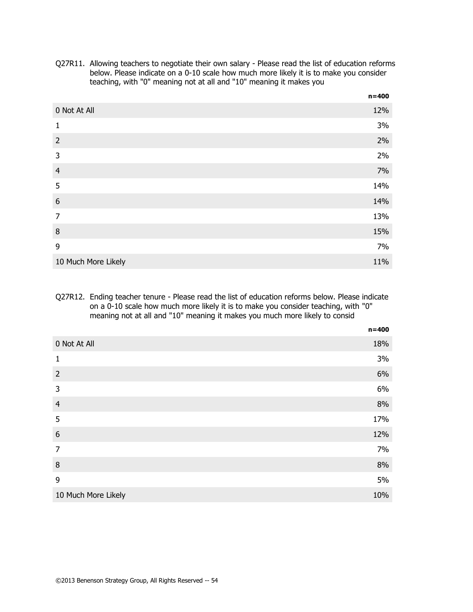|                     | $n = 400$ |
|---------------------|-----------|
| 0 Not At All        | 12%       |
| 1                   | 3%        |
| $\overline{2}$      | 2%        |
| 3                   | 2%        |
| $\overline{4}$      | 7%        |
| 5                   | 14%       |
| $\boldsymbol{6}$    | 14%       |
| $\overline{7}$      | 13%       |
| $\, 8$              | 15%       |
| 9                   | 7%        |
| 10 Much More Likely | 11%       |

Q27R11. Allowing teachers to negotiate their own salary - Please read the list of education reforms below. Please indicate on a 0-10 scale how much more likely it is to make you consider teaching, with "0" meaning not at all and "10" meaning it makes you

#### Q27R12. Ending teacher tenure - Please read the list of education reforms below. Please indicate on a 0-10 scale how much more likely it is to make you consider teaching, with "0" meaning not at all and "10" meaning it makes you much more likely to consid

|                     | $n = 400$ |
|---------------------|-----------|
| 0 Not At All        | 18%       |
| $\mathbf{1}$        | 3%        |
| $\overline{2}$      | 6%        |
| 3                   | 6%        |
| $\overline{4}$      | 8%        |
| 5                   | 17%       |
| $6\,$               | 12%       |
| $\overline{7}$      | 7%        |
| $\,8\,$             | 8%        |
| 9                   | 5%        |
| 10 Much More Likely | 10%       |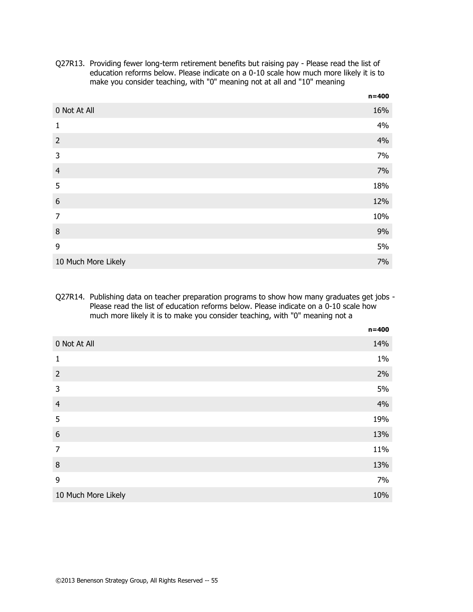|                     | $11 - 700$ |
|---------------------|------------|
| 0 Not At All        | 16%        |
| 1                   | 4%         |
| $\overline{2}$      | 4%         |
| 3                   | 7%         |
| $\overline{4}$      | 7%         |
| 5                   | 18%        |
| $\boldsymbol{6}$    | 12%        |
| $\overline{7}$      | 10%        |
| 8                   | 9%         |
| 9                   | 5%         |
| 10 Much More Likely | 7%         |

Q27R13. Providing fewer long-term retirement benefits but raising pay - Please read the list of education reforms below. Please indicate on a 0-10 scale how much more likely it is to make you consider teaching, with "0" meaning not at all and "10" meaning

**n=400**

#### Q27R14. Publishing data on teacher preparation programs to show how many graduates get jobs - Please read the list of education reforms below. Please indicate on a 0-10 scale how much more likely it is to make you consider teaching, with "0" meaning not a

|                     | $n = 400$ |
|---------------------|-----------|
| 0 Not At All        | 14%       |
| $\mathbf{1}$        | 1%        |
| $\overline{2}$      | 2%        |
| 3                   | 5%        |
| $\overline{4}$      | 4%        |
| 5                   | 19%       |
| $\boldsymbol{6}$    | 13%       |
| $\overline{7}$      | 11%       |
| $\, 8$              | 13%       |
| 9                   | 7%        |
| 10 Much More Likely | 10%       |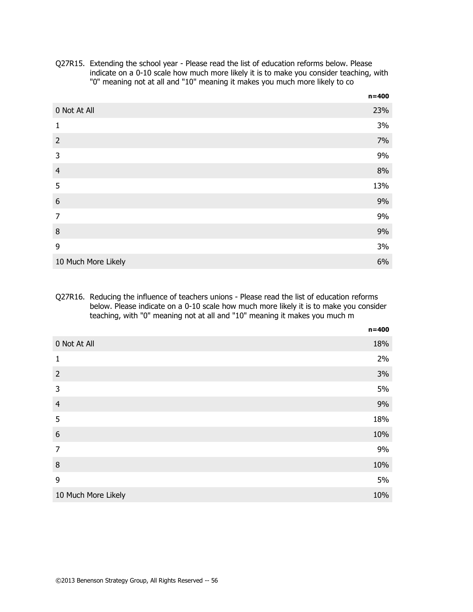|                     | $n = 400$ |
|---------------------|-----------|
| 0 Not At All        | 23%       |
| 1                   | 3%        |
| $\overline{2}$      | 7%        |
| 3                   | 9%        |
| $\overline{4}$      | 8%        |
| 5                   | 13%       |
| $\boldsymbol{6}$    | 9%        |
| $\overline{7}$      | 9%        |
| $\, 8$              | 9%        |
| 9                   | 3%        |
| 10 Much More Likely | 6%        |

Q27R15. Extending the school year - Please read the list of education reforms below. Please indicate on a 0-10 scale how much more likely it is to make you consider teaching, with "0" meaning not at all and "10" meaning it makes you much more likely to co

#### Q27R16. Reducing the influence of teachers unions - Please read the list of education reforms below. Please indicate on a 0-10 scale how much more likely it is to make you consider teaching, with "0" meaning not at all and "10" meaning it makes you much m

|                     | $n = 400$ |
|---------------------|-----------|
| 0 Not At All        | 18%       |
| $\mathbf{1}$        | 2%        |
| $\overline{2}$      | 3%        |
| 3                   | 5%        |
| $\overline{4}$      | 9%        |
| 5                   | 18%       |
| $\boldsymbol{6}$    | 10%       |
| $\overline{7}$      | 9%        |
| $\, 8$              | 10%       |
| 9                   | 5%        |
| 10 Much More Likely | 10%       |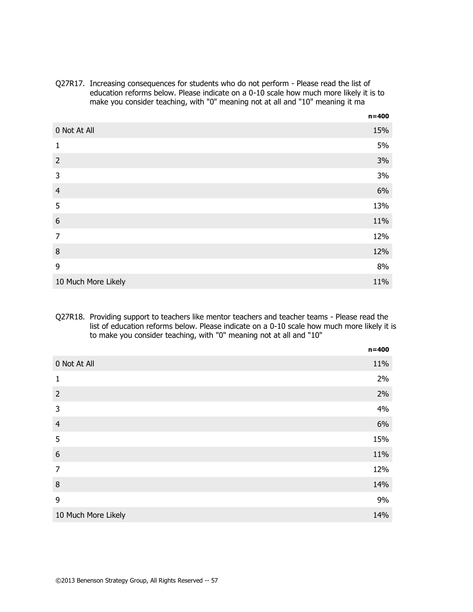Q27R17. Increasing consequences for students who do not perform - Please read the list of education reforms below. Please indicate on a 0-10 scale how much more likely it is to make you consider teaching, with "0" meaning not at all and "10" meaning it ma

|                     | $n = 400$ |
|---------------------|-----------|
| 0 Not At All        | 15%       |
| 1                   | 5%        |
| $\overline{2}$      | 3%        |
| 3                   | 3%        |
| $\overline{4}$      | 6%        |
| 5                   | 13%       |
| 6                   | 11%       |
| $\overline{7}$      | 12%       |
| 8                   | 12%       |
| 9                   | 8%        |
| 10 Much More Likely | 11%       |

#### Q27R18. Providing support to teachers like mentor teachers and teacher teams - Please read the list of education reforms below. Please indicate on a 0-10 scale how much more likely it is to make you consider teaching, with "0" meaning not at all and "10"

|                     | $n = 400$ |
|---------------------|-----------|
| 0 Not At All        | 11%       |
| $\mathbf{1}$        | 2%        |
| $\overline{2}$      | 2%        |
| 3                   | 4%        |
| $\overline{4}$      | 6%        |
| 5                   | 15%       |
| $\boldsymbol{6}$    | 11%       |
| $\overline{7}$      | 12%       |
| $\, 8$              | 14%       |
| 9                   | 9%        |
| 10 Much More Likely | 14%       |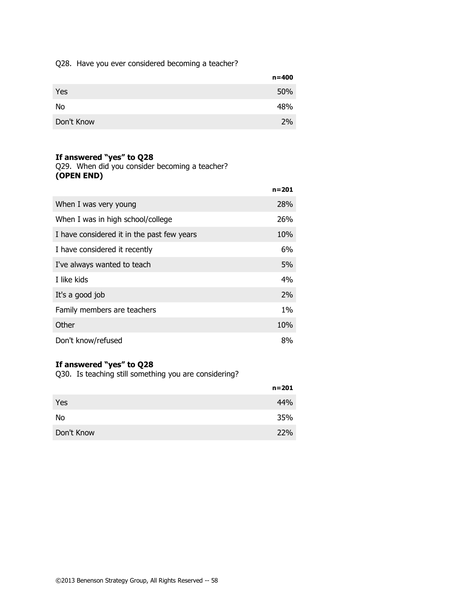### Q28. Have you ever considered becoming a teacher?

|            | $n = 400$ |
|------------|-----------|
| Yes        | 50%       |
| No         | 48%       |
| Don't Know | 2%        |

## **If answered "yes" to Q28**

Q29. When did you consider becoming a teacher? **(OPEN END)**

|                                            | $n = 201$ |
|--------------------------------------------|-----------|
| When I was very young                      | 28%       |
| When I was in high school/college          | 26%       |
| I have considered it in the past few years | 10%       |
| I have considered it recently              | 6%        |
| I've always wanted to teach                | 5%        |
| I like kids                                | 4%        |
| It's a good job                            | 2%        |
| Family members are teachers                | 1%        |
| Other                                      | 10%       |
| Don't know/refused                         | 8%        |

## **If answered "yes" to Q28**

Q30. Is teaching still something you are considering?

|            | n=201      |
|------------|------------|
| Yes        | 44%        |
| No         | 35%        |
| Don't Know | <b>22%</b> |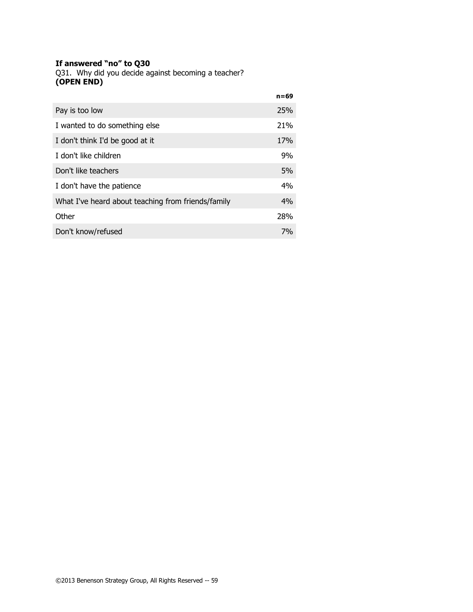#### **If answered "no" to Q30**

Q31. Why did you decide against becoming a teacher? **(OPEN END)**

|                                                    | n=69       |
|----------------------------------------------------|------------|
| Pay is too low                                     | 25%        |
| I wanted to do something else                      | 21%        |
| I don't think I'd be good at it                    | <b>17%</b> |
| I don't like children                              | 9%         |
| Don't like teachers                                | 5%         |
| I don't have the patience                          | 4%         |
| What I've heard about teaching from friends/family | 4%         |
| Other                                              | 28%        |
| Don't know/refused                                 | 7%         |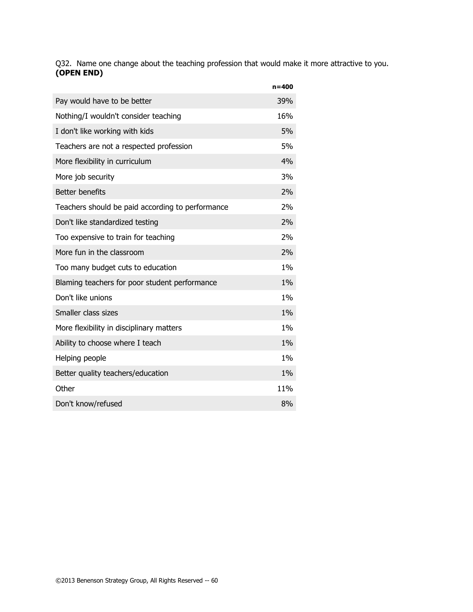Q32. Name one change about the teaching profession that would make it more attractive to you. **(OPEN END)**

|                                                  | $n = 400$ |
|--------------------------------------------------|-----------|
| Pay would have to be better                      | 39%       |
| Nothing/I wouldn't consider teaching             | 16%       |
| I don't like working with kids                   | 5%        |
| Teachers are not a respected profession          | 5%        |
| More flexibility in curriculum                   | 4%        |
| More job security                                | 3%        |
| <b>Better benefits</b>                           | 2%        |
| Teachers should be paid according to performance | 2%        |
| Don't like standardized testing                  | 2%        |
| Too expensive to train for teaching              | 2%        |
| More fun in the classroom                        | 2%        |
| Too many budget cuts to education                | $1\%$     |
| Blaming teachers for poor student performance    | 1%        |
| Don't like unions                                | $1\%$     |
| Smaller class sizes                              | 1%        |
| More flexibility in disciplinary matters         | $1\%$     |
| Ability to choose where I teach                  | 1%        |
| Helping people                                   | $1\%$     |
| Better quality teachers/education                | $1\%$     |
| Other                                            | 11%       |
| Don't know/refused                               | 8%        |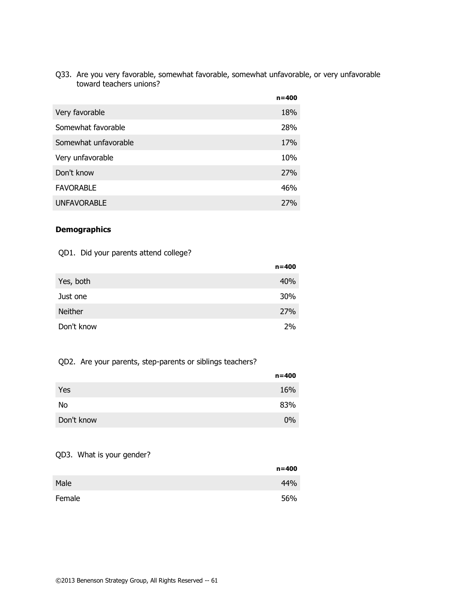Q33. Are you very favorable, somewhat favorable, somewhat unfavorable, or very unfavorable toward teachers unions?

|                      | $n = 400$ |
|----------------------|-----------|
| Very favorable       | 18%       |
| Somewhat favorable   | 28%       |
| Somewhat unfavorable | 17%       |
| Very unfavorable     | 10%       |
| Don't know           | 27%       |
| <b>FAVORABLE</b>     | 46%       |
| <b>UNFAVORABLE</b>   | 27%       |

### **Demographics**

## QD1. Did your parents attend college?

|            | $n = 400$ |
|------------|-----------|
| Yes, both  | 40%       |
| Just one   | 30%       |
| Neither    | 27%       |
| Don't know | 2%        |

## QD2. Are your parents, step-parents or siblings teachers?

|            | $n = 400$ |
|------------|-----------|
| Yes        | 16%       |
| No         | 83%       |
| Don't know | $0\%$     |

### QD3. What is your gender?

|        | $n = 400$ |
|--------|-----------|
| Male   | 44%       |
| Female | 56%       |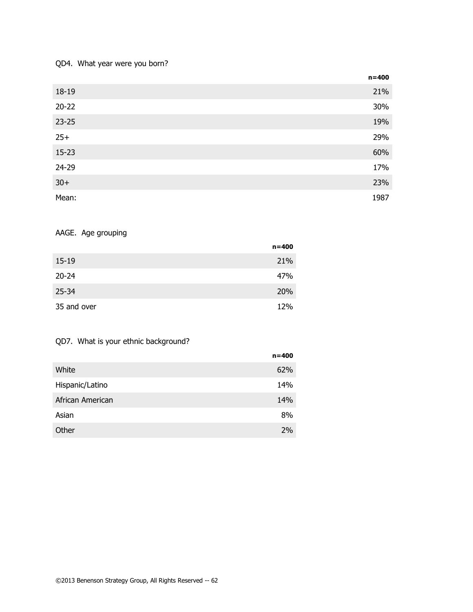### QD4. What year were you born?

|           | $n = 400$ |
|-----------|-----------|
| 18-19     | 21%       |
| $20 - 22$ | 30%       |
| $23 - 25$ | 19%       |
| $25+$     | 29%       |
| $15 - 23$ | 60%       |
| 24-29     | 17%       |
| $30+$     | 23%       |
| Mean:     | 1987      |

# AAGE. Age grouping

|             | $n = 400$ |
|-------------|-----------|
| $15-19$     | 21%       |
| $20 - 24$   | 47%       |
| $25 - 34$   | 20%       |
| 35 and over | 12%       |

## QD7. What is your ethnic background?

|                  | $n = 400$ |
|------------------|-----------|
| White            | 62%       |
| Hispanic/Latino  | 14%       |
| African American | 14%       |
| Asian            | 8%        |
| Other            | 2%        |
|                  |           |